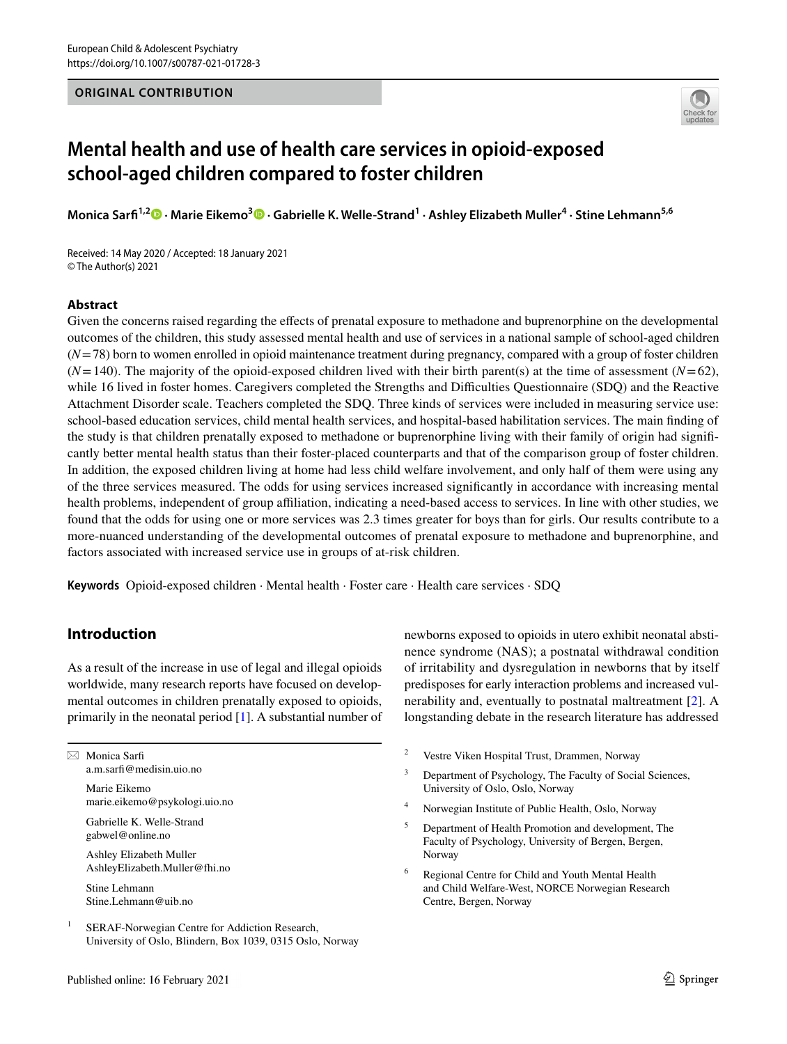## **ORIGINAL CONTRIBUTION**



# **Mental health and use of health care services in opioid‑exposed school‑aged children compared to foster children**

**Monica Sarf1,2  [·](http://orcid.org/0000-0001-9408-8303) Marie Eikemo[3](https://orcid.org/0000-0001-5103-919X) · Gabrielle K. Welle‑Strand<sup>1</sup> · Ashley Elizabeth Muller4 · Stine Lehmann5,6**

Received: 14 May 2020 / Accepted: 18 January 2021 © The Author(s) 2021

# **Abstract**

Given the concerns raised regarding the efects of prenatal exposure to methadone and buprenorphine on the developmental outcomes of the children, this study assessed mental health and use of services in a national sample of school-aged children (*N*=78) born to women enrolled in opioid maintenance treatment during pregnancy, compared with a group of foster children  $(N=140)$ . The majority of the opioid-exposed children lived with their birth parent(s) at the time of assessment  $(N=62)$ , while 16 lived in foster homes. Caregivers completed the Strengths and Difficulties Questionnaire (SDQ) and the Reactive Attachment Disorder scale. Teachers completed the SDQ. Three kinds of services were included in measuring service use: school-based education services, child mental health services, and hospital-based habilitation services. The main fnding of the study is that children prenatally exposed to methadone or buprenorphine living with their family of origin had signifcantly better mental health status than their foster-placed counterparts and that of the comparison group of foster children. In addition, the exposed children living at home had less child welfare involvement, and only half of them were using any of the three services measured. The odds for using services increased signifcantly in accordance with increasing mental health problems, independent of group afliation, indicating a need-based access to services. In line with other studies, we found that the odds for using one or more services was 2.3 times greater for boys than for girls. Our results contribute to a more-nuanced understanding of the developmental outcomes of prenatal exposure to methadone and buprenorphine, and factors associated with increased service use in groups of at-risk children.

**Keywords** Opioid-exposed children · Mental health · Foster care · Health care services · SDQ

# **Introduction**

As a result of the increase in use of legal and illegal opioids worldwide, many research reports have focused on developmental outcomes in children prenatally exposed to opioids, primarily in the neonatal period [\[1](#page-11-0)]. A substantial number of

 $\boxtimes$  Monica Sarfi a.m.sarf@medisin.uio.no

> Marie Eikemo marie.eikemo@psykologi.uio.no

Gabrielle K. Welle-Strand gabwel@online.no

Ashley Elizabeth Muller AshleyElizabeth.Muller@fhi.no

Stine Lehmann Stine.Lehmann@uib.no

<sup>1</sup> SERAF-Norwegian Centre for Addiction Research, University of Oslo, Blindern, Box 1039, 0315 Oslo, Norway newborns exposed to opioids in utero exhibit neonatal abstinence syndrome (NAS); a postnatal withdrawal condition of irritability and dysregulation in newborns that by itself predisposes for early interaction problems and increased vulnerability and, eventually to postnatal maltreatment [\[2](#page-11-1)]. A longstanding debate in the research literature has addressed

- <sup>2</sup> Vestre Viken Hospital Trust, Drammen, Norway
- <sup>3</sup> Department of Psychology, The Faculty of Social Sciences, University of Oslo, Oslo, Norway
- <sup>4</sup> Norwegian Institute of Public Health, Oslo, Norway
- <sup>5</sup> Department of Health Promotion and development, The Faculty of Psychology, University of Bergen, Bergen, Norway
- <sup>6</sup> Regional Centre for Child and Youth Mental Health and Child Welfare-West, NORCE Norwegian Research Centre, Bergen, Norway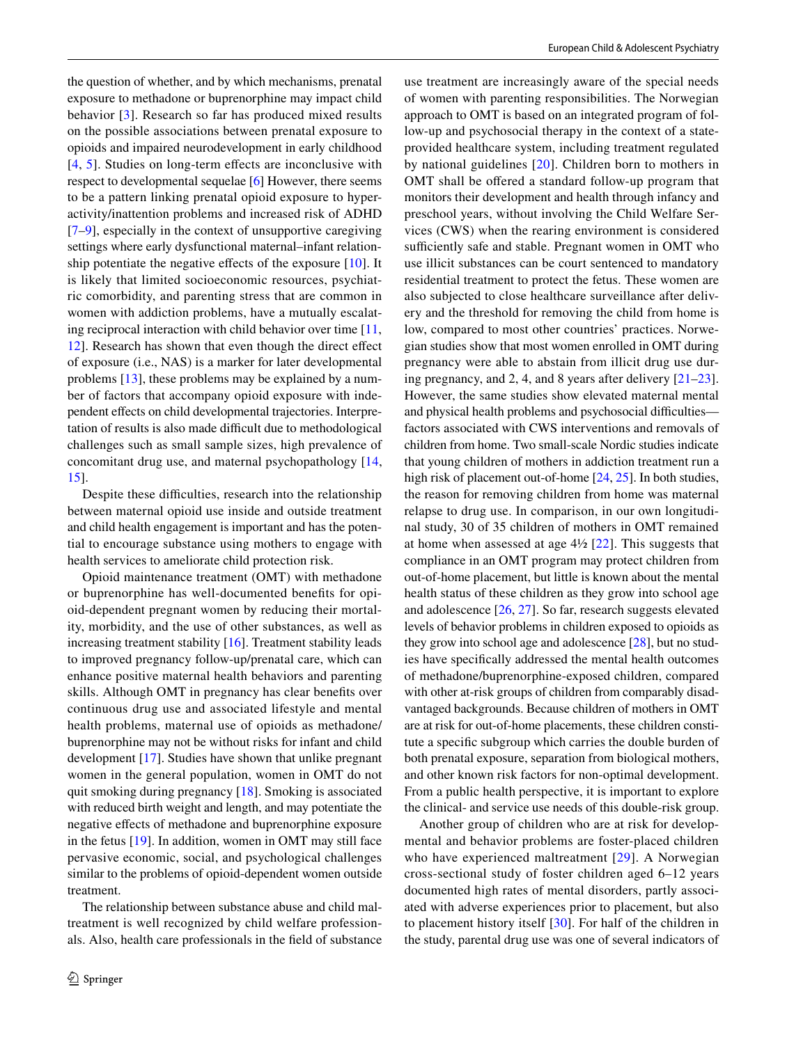the question of whether, and by which mechanisms, prenatal exposure to methadone or buprenorphine may impact child behavior [\[3\]](#page-11-2). Research so far has produced mixed results on the possible associations between prenatal exposure to opioids and impaired neurodevelopment in early childhood [[4,](#page-11-3) [5](#page-11-4)]. Studies on long-term effects are inconclusive with respect to developmental sequelae [[6\]](#page-11-5) However, there seems to be a pattern linking prenatal opioid exposure to hyperactivity/inattention problems and increased risk of ADHD [\[7](#page-11-6)–[9\]](#page-11-7), especially in the context of unsupportive caregiving settings where early dysfunctional maternal–infant relation-ship potentiate the negative effects of the exposure [[10](#page-11-8)]. It is likely that limited socioeconomic resources, psychiatric comorbidity, and parenting stress that are common in women with addiction problems, have a mutually escalating reciprocal interaction with child behavior over time [[11,](#page-11-9) [12](#page-11-10)]. Research has shown that even though the direct efect of exposure (i.e., NAS) is a marker for later developmental problems [\[13](#page-11-11)], these problems may be explained by a number of factors that accompany opioid exposure with independent efects on child developmental trajectories. Interpretation of results is also made difficult due to methodological challenges such as small sample sizes, high prevalence of concomitant drug use, and maternal psychopathology [\[14,](#page-11-12) [15](#page-11-13)].

Despite these difficulties, research into the relationship between maternal opioid use inside and outside treatment and child health engagement is important and has the potential to encourage substance using mothers to engage with health services to ameliorate child protection risk.

Opioid maintenance treatment (OMT) with methadone or buprenorphine has well-documented benefts for opioid-dependent pregnant women by reducing their mortality, morbidity, and the use of other substances, as well as increasing treatment stability [[16\]](#page-11-14). Treatment stability leads to improved pregnancy follow-up/prenatal care, which can enhance positive maternal health behaviors and parenting skills. Although OMT in pregnancy has clear benefts over continuous drug use and associated lifestyle and mental health problems, maternal use of opioids as methadone/ buprenorphine may not be without risks for infant and child development [[17\]](#page-11-15). Studies have shown that unlike pregnant women in the general population, women in OMT do not quit smoking during pregnancy [\[18](#page-11-16)]. Smoking is associated with reduced birth weight and length, and may potentiate the negative efects of methadone and buprenorphine exposure in the fetus [\[19](#page-11-17)]. In addition, women in OMT may still face pervasive economic, social, and psychological challenges similar to the problems of opioid-dependent women outside treatment.

The relationship between substance abuse and child maltreatment is well recognized by child welfare professionals. Also, health care professionals in the feld of substance

use treatment are increasingly aware of the special needs of women with parenting responsibilities. The Norwegian approach to OMT is based on an integrated program of follow-up and psychosocial therapy in the context of a stateprovided healthcare system, including treatment regulated by national guidelines [[20\]](#page-11-18). Children born to mothers in OMT shall be offered a standard follow-up program that monitors their development and health through infancy and preschool years, without involving the Child Welfare Services (CWS) when the rearing environment is considered sufficiently safe and stable. Pregnant women in OMT who use illicit substances can be court sentenced to mandatory residential treatment to protect the fetus. These women are also subjected to close healthcare surveillance after delivery and the threshold for removing the child from home is low, compared to most other countries' practices. Norwegian studies show that most women enrolled in OMT during pregnancy were able to abstain from illicit drug use during pregnancy, and 2, 4, and 8 years after delivery [\[21](#page-12-0)[–23](#page-12-1)]. However, the same studies show elevated maternal mental and physical health problems and psychosocial difficulties factors associated with CWS interventions and removals of children from home. Two small-scale Nordic studies indicate that young children of mothers in addiction treatment run a high risk of placement out-of-home [[24,](#page-12-2) [25](#page-12-3)]. In both studies, the reason for removing children from home was maternal relapse to drug use. In comparison, in our own longitudinal study, 30 of 35 children of mothers in OMT remained at home when assessed at age  $4\frac{1}{2}$  [\[22](#page-12-4)]. This suggests that compliance in an OMT program may protect children from out-of-home placement, but little is known about the mental health status of these children as they grow into school age and adolescence [\[26](#page-12-5), [27](#page-12-6)]. So far, research suggests elevated levels of behavior problems in children exposed to opioids as they grow into school age and adolescence [\[28](#page-12-7)], but no studies have specifcally addressed the mental health outcomes of methadone/buprenorphine-exposed children, compared with other at-risk groups of children from comparably disadvantaged backgrounds. Because children of mothers in OMT are at risk for out-of-home placements, these children constitute a specifc subgroup which carries the double burden of both prenatal exposure, separation from biological mothers, and other known risk factors for non-optimal development. From a public health perspective, it is important to explore the clinical- and service use needs of this double-risk group.

Another group of children who are at risk for developmental and behavior problems are foster-placed children who have experienced maltreatment [[29](#page-12-8)]. A Norwegian cross-sectional study of foster children aged 6–12 years documented high rates of mental disorders, partly associated with adverse experiences prior to placement, but also to placement history itself [\[30](#page-12-9)]. For half of the children in the study, parental drug use was one of several indicators of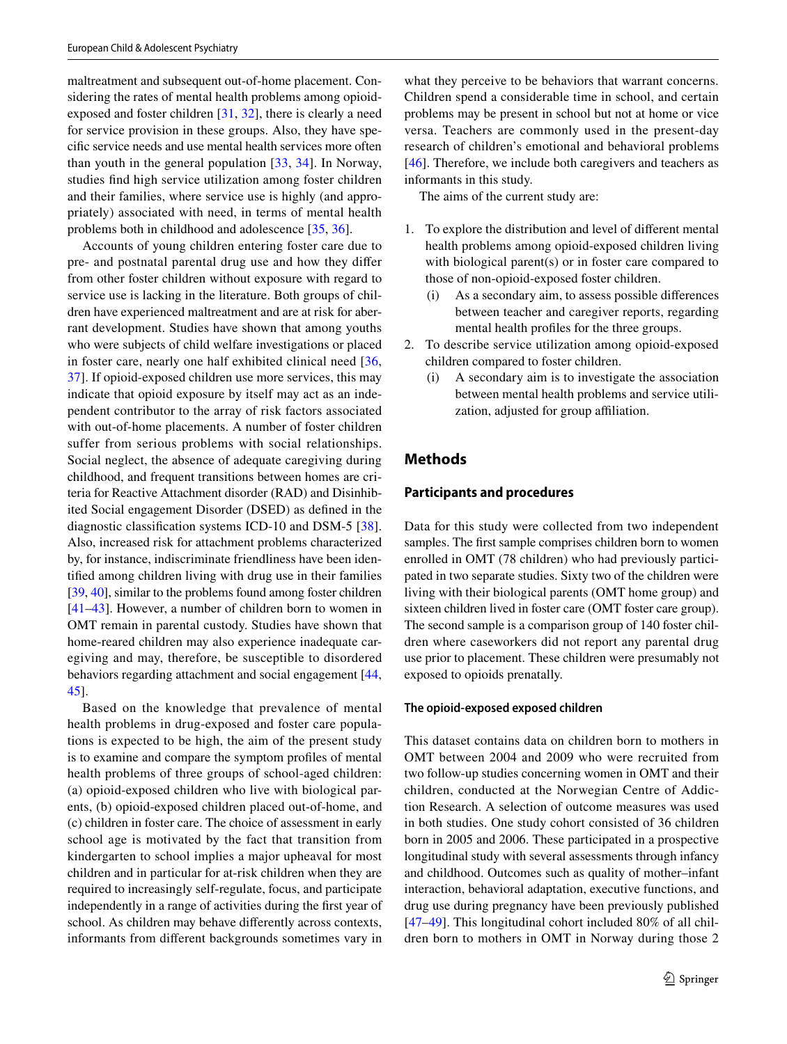maltreatment and subsequent out-of-home placement. Considering the rates of mental health problems among opioidexposed and foster children [[31,](#page-12-10) [32\]](#page-12-11), there is clearly a need for service provision in these groups. Also, they have specifc service needs and use mental health services more often than youth in the general population [[33](#page-12-12), [34](#page-12-13)]. In Norway, studies fnd high service utilization among foster children and their families, where service use is highly (and appropriately) associated with need, in terms of mental health problems both in childhood and adolescence [\[35](#page-12-14), [36](#page-12-15)].

Accounts of young children entering foster care due to pre- and postnatal parental drug use and how they difer from other foster children without exposure with regard to service use is lacking in the literature. Both groups of children have experienced maltreatment and are at risk for aberrant development. Studies have shown that among youths who were subjects of child welfare investigations or placed in foster care, nearly one half exhibited clinical need [\[36,](#page-12-15) [37](#page-12-16)]. If opioid-exposed children use more services, this may indicate that opioid exposure by itself may act as an independent contributor to the array of risk factors associated with out-of-home placements. A number of foster children suffer from serious problems with social relationships. Social neglect, the absence of adequate caregiving during childhood, and frequent transitions between homes are criteria for Reactive Attachment disorder (RAD) and Disinhibited Social engagement Disorder (DSED) as defned in the diagnostic classifcation systems ICD-10 and DSM-5 [\[38](#page-12-17)]. Also, increased risk for attachment problems characterized by, for instance, indiscriminate friendliness have been identifed among children living with drug use in their families [\[39](#page-12-18), [40\]](#page-12-19), similar to the problems found among foster children [\[41–](#page-12-20)[43\]](#page-12-21). However, a number of children born to women in OMT remain in parental custody. Studies have shown that home-reared children may also experience inadequate caregiving and may, therefore, be susceptible to disordered behaviors regarding attachment and social engagement [[44,](#page-12-22) [45](#page-12-23)].

Based on the knowledge that prevalence of mental health problems in drug-exposed and foster care populations is expected to be high, the aim of the present study is to examine and compare the symptom profles of mental health problems of three groups of school-aged children: (a) opioid-exposed children who live with biological parents, (b) opioid-exposed children placed out-of-home, and (c) children in foster care. The choice of assessment in early school age is motivated by the fact that transition from kindergarten to school implies a major upheaval for most children and in particular for at-risk children when they are required to increasingly self-regulate, focus, and participate independently in a range of activities during the frst year of school. As children may behave diferently across contexts, informants from diferent backgrounds sometimes vary in what they perceive to be behaviors that warrant concerns. Children spend a considerable time in school, and certain problems may be present in school but not at home or vice versa. Teachers are commonly used in the present-day research of children's emotional and behavioral problems [[46\]](#page-12-24). Therefore, we include both caregivers and teachers as informants in this study.

The aims of the current study are:

- 1. To explore the distribution and level of diferent mental health problems among opioid-exposed children living with biological parent(s) or in foster care compared to those of non-opioid-exposed foster children.
	- (i) As a secondary aim, to assess possible diferences between teacher and caregiver reports, regarding mental health profles for the three groups.
- 2. To describe service utilization among opioid-exposed children compared to foster children.
	- (i) A secondary aim is to investigate the association between mental health problems and service utilization, adjusted for group afliation.

# **Methods**

#### **Participants and procedures**

Data for this study were collected from two independent samples. The frst sample comprises children born to women enrolled in OMT (78 children) who had previously participated in two separate studies. Sixty two of the children were living with their biological parents (OMT home group) and sixteen children lived in foster care (OMT foster care group). The second sample is a comparison group of 140 foster children where caseworkers did not report any parental drug use prior to placement. These children were presumably not exposed to opioids prenatally.

#### **The opioid‑exposed exposed children**

This dataset contains data on children born to mothers in OMT between 2004 and 2009 who were recruited from two follow-up studies concerning women in OMT and their children, conducted at the Norwegian Centre of Addiction Research. A selection of outcome measures was used in both studies. One study cohort consisted of 36 children born in 2005 and 2006. These participated in a prospective longitudinal study with several assessments through infancy and childhood. Outcomes such as quality of mother–infant interaction, behavioral adaptation, executive functions, and drug use during pregnancy have been previously published [[47–](#page-12-25)[49\]](#page-12-26). This longitudinal cohort included 80% of all children born to mothers in OMT in Norway during those 2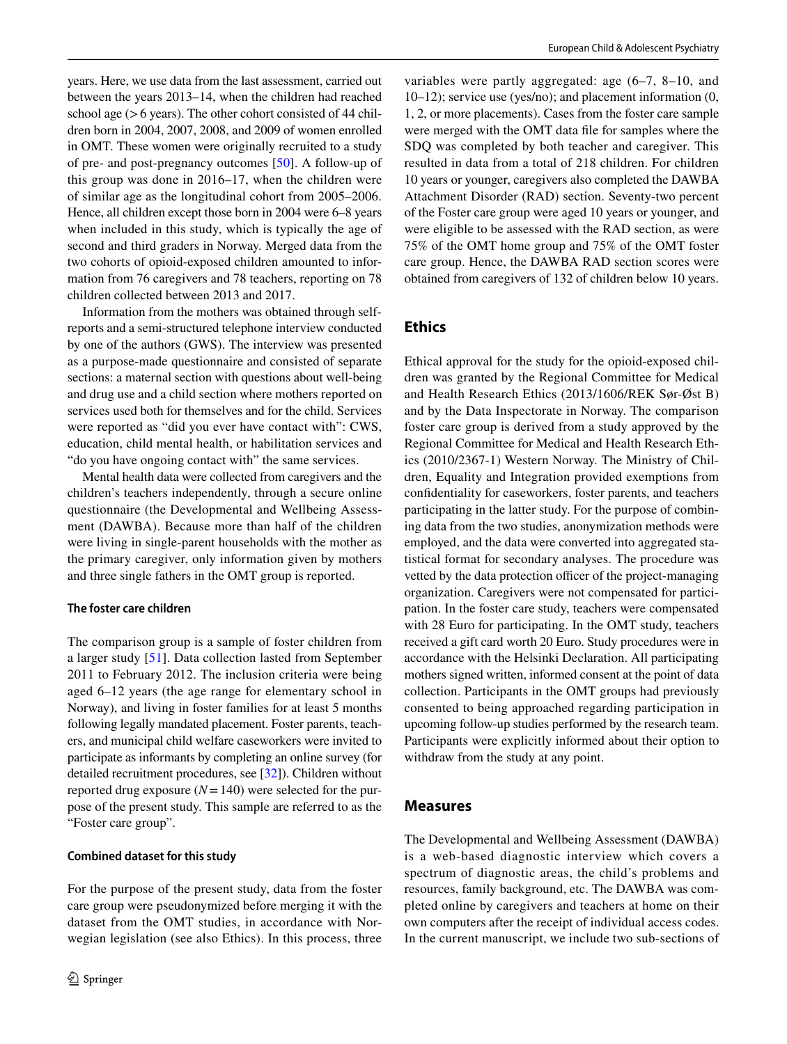years. Here, we use data from the last assessment, carried out between the years 2013–14, when the children had reached school age  $(>6$  years). The other cohort consisted of 44 children born in 2004, 2007, 2008, and 2009 of women enrolled in OMT. These women were originally recruited to a study of pre- and post-pregnancy outcomes [[50\]](#page-12-27). A follow-up of this group was done in 2016–17, when the children were of similar age as the longitudinal cohort from 2005–2006. Hence, all children except those born in 2004 were 6–8 years when included in this study, which is typically the age of second and third graders in Norway. Merged data from the two cohorts of opioid-exposed children amounted to information from 76 caregivers and 78 teachers, reporting on 78 children collected between 2013 and 2017.

Information from the mothers was obtained through selfreports and a semi-structured telephone interview conducted by one of the authors (GWS). The interview was presented as a purpose-made questionnaire and consisted of separate sections: a maternal section with questions about well-being and drug use and a child section where mothers reported on services used both for themselves and for the child. Services were reported as "did you ever have contact with": CWS, education, child mental health, or habilitation services and "do you have ongoing contact with" the same services.

Mental health data were collected from caregivers and the children's teachers independently, through a secure online questionnaire (the Developmental and Wellbeing Assessment (DAWBA). Because more than half of the children were living in single-parent households with the mother as the primary caregiver, only information given by mothers and three single fathers in the OMT group is reported.

### **The foster care children**

The comparison group is a sample of foster children from a larger study [[51\]](#page-13-0). Data collection lasted from September 2011 to February 2012. The inclusion criteria were being aged 6–12 years (the age range for elementary school in Norway), and living in foster families for at least 5 months following legally mandated placement. Foster parents, teachers, and municipal child welfare caseworkers were invited to participate as informants by completing an online survey (for detailed recruitment procedures, see [\[32](#page-12-11)]). Children without reported drug exposure  $(N=140)$  were selected for the purpose of the present study. This sample are referred to as the "Foster care group".

### **Combined dataset for this study**

For the purpose of the present study, data from the foster care group were pseudonymized before merging it with the dataset from the OMT studies, in accordance with Norwegian legislation (see also Ethics). In this process, three

variables were partly aggregated: age (6–7, 8–10, and 10–12); service use (yes/no); and placement information (0, 1, 2, or more placements). Cases from the foster care sample were merged with the OMT data fle for samples where the SDQ was completed by both teacher and caregiver. This resulted in data from a total of 218 children. For children 10 years or younger, caregivers also completed the DAWBA Attachment Disorder (RAD) section. Seventy-two percent of the Foster care group were aged 10 years or younger, and were eligible to be assessed with the RAD section, as were 75% of the OMT home group and 75% of the OMT foster care group. Hence, the DAWBA RAD section scores were obtained from caregivers of 132 of children below 10 years.

# **Ethics**

Ethical approval for the study for the opioid-exposed children was granted by the Regional Committee for Medical and Health Research Ethics (2013/1606/REK Sør-Øst B) and by the Data Inspectorate in Norway. The comparison foster care group is derived from a study approved by the Regional Committee for Medical and Health Research Ethics (2010/2367-1) Western Norway. The Ministry of Children, Equality and Integration provided exemptions from confdentiality for caseworkers, foster parents, and teachers participating in the latter study. For the purpose of combining data from the two studies, anonymization methods were employed, and the data were converted into aggregated statistical format for secondary analyses. The procedure was vetted by the data protection officer of the project-managing organization. Caregivers were not compensated for participation. In the foster care study, teachers were compensated with 28 Euro for participating. In the OMT study, teachers received a gift card worth 20 Euro. Study procedures were in accordance with the Helsinki Declaration. All participating mothers signed written, informed consent at the point of data collection. Participants in the OMT groups had previously consented to being approached regarding participation in upcoming follow-up studies performed by the research team. Participants were explicitly informed about their option to withdraw from the study at any point.

# **Measures**

The Developmental and Wellbeing Assessment (DAWBA) is a web-based diagnostic interview which covers a spectrum of diagnostic areas, the child's problems and resources, family background, etc. The DAWBA was completed online by caregivers and teachers at home on their own computers after the receipt of individual access codes. In the current manuscript, we include two sub-sections of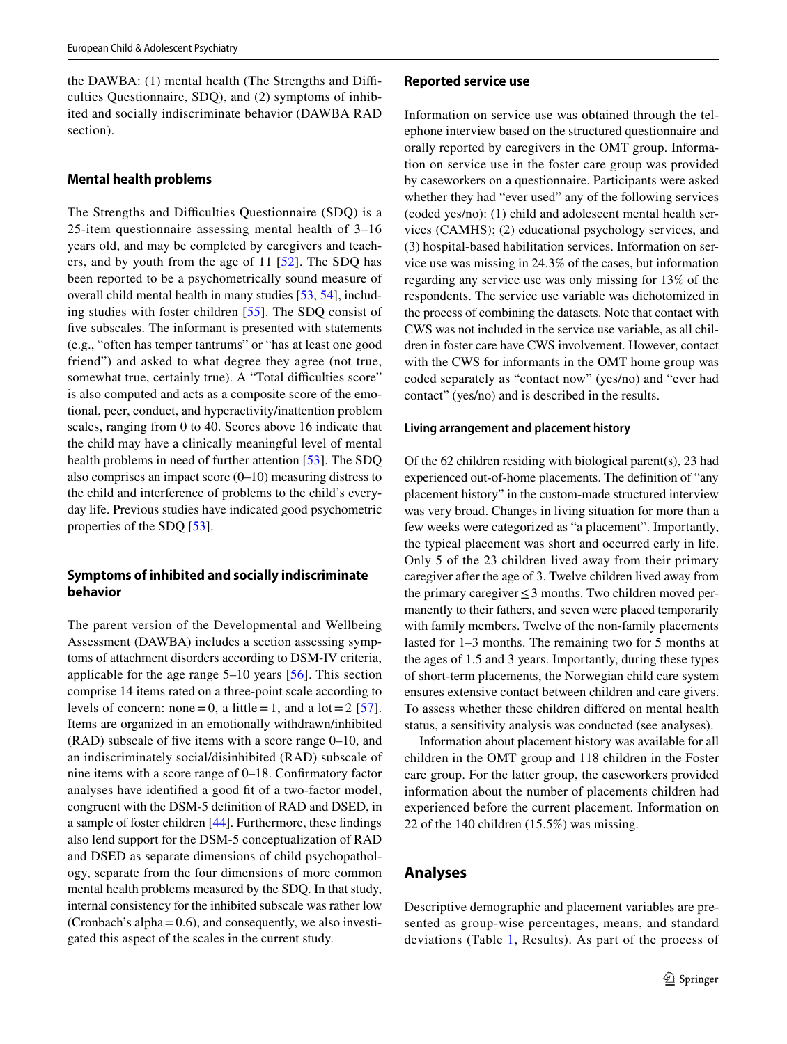the DAWBA: (1) mental health (The Strengths and Difficulties Questionnaire, SDQ), and (2) symptoms of inhibited and socially indiscriminate behavior (DAWBA RAD section).

### **Mental health problems**

The Strengths and Difficulties Questionnaire (SDQ) is a 25-item questionnaire assessing mental health of 3–16 years old, and may be completed by caregivers and teachers, and by youth from the age of 11 [[52](#page-13-1)]. The SDQ has been reported to be a psychometrically sound measure of overall child mental health in many studies [[53,](#page-13-2) [54\]](#page-13-3), including studies with foster children [[55](#page-13-4)]. The SDQ consist of five subscales. The informant is presented with statements (e.g., "often has temper tantrums" or "has at least one good friend") and asked to what degree they agree (not true, somewhat true, certainly true). A "Total difficulties score" is also computed and acts as a composite score of the emotional, peer, conduct, and hyperactivity/inattention problem scales, ranging from 0 to 40. Scores above 16 indicate that the child may have a clinically meaningful level of mental health problems in need of further attention [\[53\]](#page-13-2). The SDQ also comprises an impact score (0–10) measuring distress to the child and interference of problems to the child's everyday life. Previous studies have indicated good psychometric properties of the SDQ [[53\]](#page-13-2).

# **Symptoms of inhibited and socially indiscriminate behavior**

The parent version of the Developmental and Wellbeing Assessment (DAWBA) includes a section assessing symptoms of attachment disorders according to DSM-IV criteria, applicable for the age range 5–10 years [[56](#page-13-5)]. This section comprise 14 items rated on a three-point scale according to levels of concern: none = 0, a little = 1, and a lot =  $2 \frac{57}{1}$  $2 \frac{57}{1}$  $2 \frac{57}{1}$ . Items are organized in an emotionally withdrawn/inhibited (RAD) subscale of fve items with a score range 0–10, and an indiscriminately social/disinhibited (RAD) subscale of nine items with a score range of 0–18. Confrmatory factor analyses have identified a good fit of a two-factor model, congruent with the DSM-5 defnition of RAD and DSED, in a sample of foster children [\[44](#page-12-22)]. Furthermore, these fndings also lend support for the DSM-5 conceptualization of RAD and DSED as separate dimensions of child psychopathology, separate from the four dimensions of more common mental health problems measured by the SDQ. In that study, internal consistency for the inhibited subscale was rather low (Cronbach's alpha $=0.6$ ), and consequently, we also investigated this aspect of the scales in the current study.

### **Reported service use**

Information on service use was obtained through the telephone interview based on the structured questionnaire and orally reported by caregivers in the OMT group. Information on service use in the foster care group was provided by caseworkers on a questionnaire. Participants were asked whether they had "ever used" any of the following services (coded yes/no): (1) child and adolescent mental health services (CAMHS); (2) educational psychology services, and (3) hospital-based habilitation services. Information on service use was missing in 24.3% of the cases, but information regarding any service use was only missing for 13% of the respondents. The service use variable was dichotomized in the process of combining the datasets. Note that contact with CWS was not included in the service use variable, as all children in foster care have CWS involvement. However, contact with the CWS for informants in the OMT home group was coded separately as "contact now" (yes/no) and "ever had contact" (yes/no) and is described in the results.

#### **Living arrangement and placement history**

Of the 62 children residing with biological parent(s), 23 had experienced out-of-home placements. The defnition of "any placement history" in the custom-made structured interview was very broad. Changes in living situation for more than a few weeks were categorized as "a placement". Importantly, the typical placement was short and occurred early in life. Only 5 of the 23 children lived away from their primary caregiver after the age of 3. Twelve children lived away from the primary caregiver≤3 months. Two children moved permanently to their fathers, and seven were placed temporarily with family members. Twelve of the non-family placements lasted for 1–3 months. The remaining two for 5 months at the ages of 1.5 and 3 years. Importantly, during these types of short-term placements, the Norwegian child care system ensures extensive contact between children and care givers. To assess whether these children difered on mental health status, a sensitivity analysis was conducted (see analyses).

Information about placement history was available for all children in the OMT group and 118 children in the Foster care group. For the latter group, the caseworkers provided information about the number of placements children had experienced before the current placement. Information on 22 of the 140 children (15.5%) was missing.

# **Analyses**

Descriptive demographic and placement variables are presented as group-wise percentages, means, and standard deviations (Table [1](#page-6-0), Results). As part of the process of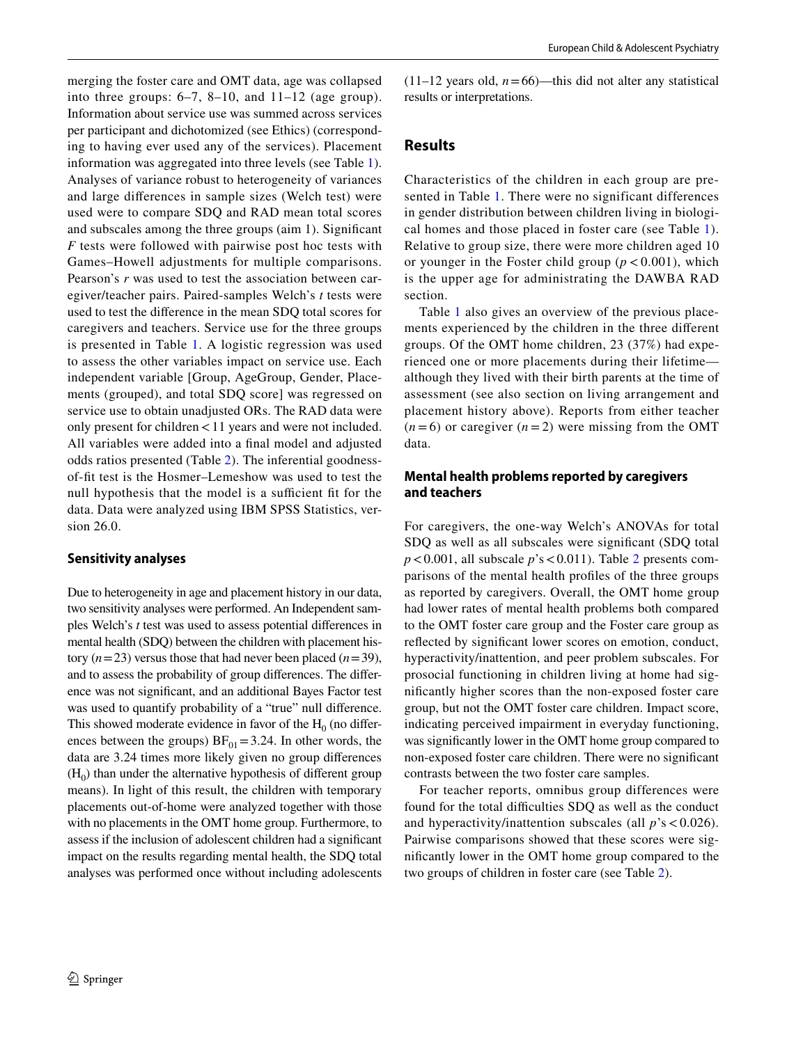merging the foster care and OMT data, age was collapsed into three groups:  $6-7$ ,  $8-10$ , and  $11-12$  (age group). Information about service use was summed across services per participant and dichotomized (see Ethics) (corresponding to having ever used any of the services). Placement information was aggregated into three levels (see Table [1](#page-6-0)). Analyses of variance robust to heterogeneity of variances and large diferences in sample sizes (Welch test) were used were to compare SDQ and RAD mean total scores and subscales among the three groups (aim 1). Signifcant *F* tests were followed with pairwise post hoc tests with Games–Howell adjustments for multiple comparisons. Pearson's *r* was used to test the association between caregiver/teacher pairs. Paired-samples Welch's *t* tests were used to test the diference in the mean SDQ total scores for caregivers and teachers. Service use for the three groups is presented in Table [1](#page-6-0). A logistic regression was used to assess the other variables impact on service use. Each independent variable [Group, AgeGroup, Gender, Placements (grouped), and total SDQ score] was regressed on service use to obtain unadjusted ORs. The RAD data were only present for children<11 years and were not included. All variables were added into a fnal model and adjusted odds ratios presented (Table [2](#page-6-1)). The inferential goodnessof-ft test is the Hosmer–Lemeshow was used to test the null hypothesis that the model is a sufficient fit for the data. Data were analyzed using IBM SPSS Statistics, version 26.0.

### **Sensitivity analyses**

Due to heterogeneity in age and placement history in our data, two sensitivity analyses were performed. An Independent samples Welch's *t* test was used to assess potential diferences in mental health (SDQ) between the children with placement history  $(n=23)$  versus those that had never been placed  $(n=39)$ , and to assess the probability of group diferences. The diference was not signifcant, and an additional Bayes Factor test was used to quantify probability of a "true" null difference. This showed moderate evidence in favor of the  $H_0$  (no differences between the groups)  $BF_{01} = 3.24$ . In other words, the data are 3.24 times more likely given no group diferences  $(H<sub>0</sub>)$  than under the alternative hypothesis of different group means). In light of this result, the children with temporary placements out-of-home were analyzed together with those with no placements in the OMT home group. Furthermore, to assess if the inclusion of adolescent children had a signifcant impact on the results regarding mental health, the SDQ total analyses was performed once without including adolescents  $(11-12 \text{ years old}, n=66)$ —this did not alter any statistical results or interpretations.

# **Results**

Characteristics of the children in each group are presented in Table [1](#page-6-0). There were no significant differences in gender distribution between children living in biological homes and those placed in foster care (see Table [1](#page-6-0)). Relative to group size, there were more children aged 10 or younger in the Foster child group  $(p < 0.001)$ , which is the upper age for administrating the DAWBA RAD section.

Table [1](#page-6-0) also gives an overview of the previous placements experienced by the children in the three diferent groups. Of the OMT home children, 23 (37%) had experienced one or more placements during their lifetime although they lived with their birth parents at the time of assessment (see also section on living arrangement and placement history above). Reports from either teacher  $(n=6)$  or caregiver  $(n=2)$  were missing from the OMT data.

# **Mental health problems reported by caregivers and teachers**

For caregivers, the one-way Welch's ANOVAs for total SDQ as well as all subscales were signifcant (SDQ total  $p < 0.001$ , all subscale  $p$ 's < 0.011). Table [2](#page-7-0) presents comparisons of the mental health profles of the three groups as reported by caregivers. Overall, the OMT home group had lower rates of mental health problems both compared to the OMT foster care group and the Foster care group as refected by signifcant lower scores on emotion, conduct, hyperactivity/inattention, and peer problem subscales. For prosocial functioning in children living at home had signifcantly higher scores than the non-exposed foster care group, but not the OMT foster care children. Impact score, indicating perceived impairment in everyday functioning, was signifcantly lower in the OMT home group compared to non-exposed foster care children. There were no signifcant contrasts between the two foster care samples.

For teacher reports, omnibus group differences were found for the total difficulties SDQ as well as the conduct and hyperactivity/inattention subscales (all  $p$ 's < 0.026). Pairwise comparisons showed that these scores were signifcantly lower in the OMT home group compared to the two groups of children in foster care (see Table [2](#page-8-0)).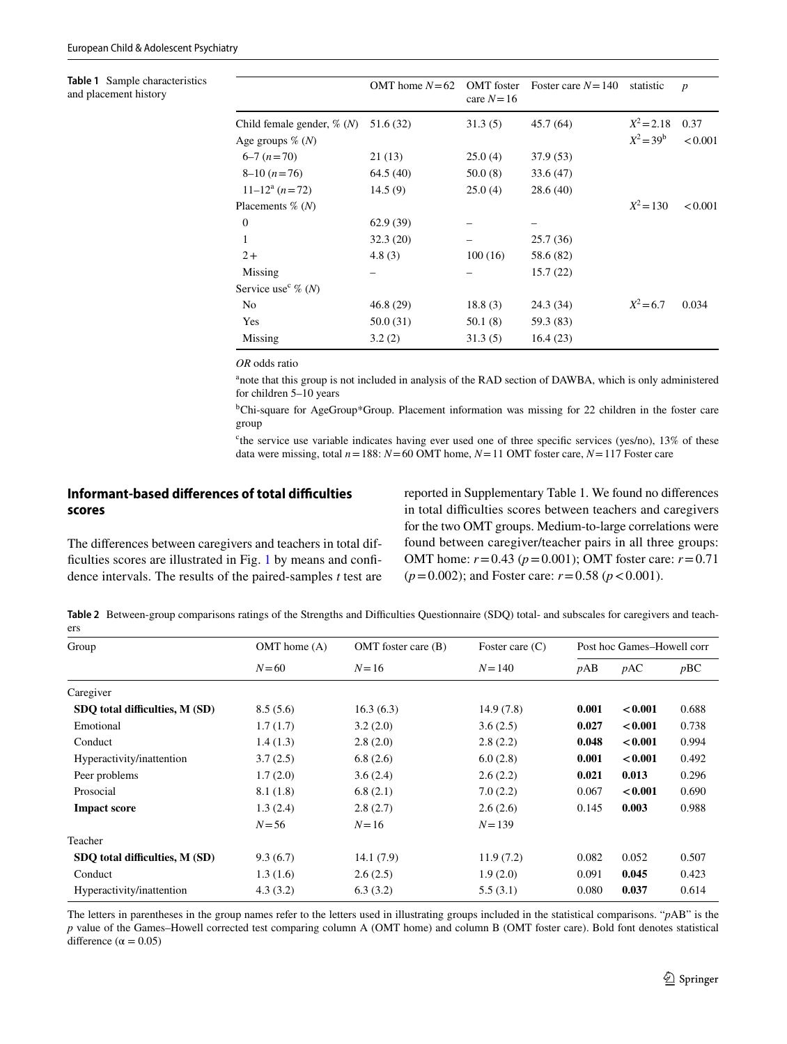<span id="page-6-0"></span>**Table 1** Sample characteristics and placement history

|                                   | OMT home $N=62$ | <b>OMT</b> foster<br>care $N=16$ | Foster care $N = 140$ | statistic    | $\boldsymbol{p}$ |
|-----------------------------------|-----------------|----------------------------------|-----------------------|--------------|------------------|
| Child female gender, $\%$ (N)     | 51.6 (32)       | 31.3(5)                          | 45.7(64)              | $X^2 = 2.18$ | 0.37             |
| Age groups $\%$ (N)               |                 |                                  |                       | $X^2 = 39^b$ | < 0.001          |
| $6-7(n=70)$                       | 21(13)          | 25.0(4)                          | 37.9 (53)             |              |                  |
| $8-10(n=76)$                      | 64.5(40)        | 50.0(8)                          | 33.6(47)              |              |                  |
| $11-12^a$ $(n=72)$                | 14.5(9)         | 25.0(4)                          | 28.6(40)              |              |                  |
| Placements $\%$ (N)               |                 |                                  |                       | $X^2 = 130$  | < 0.001          |
| $\theta$                          | 62.9(39)        |                                  |                       |              |                  |
| 1                                 | 32.3(20)        |                                  | 25.7(36)              |              |                  |
| $2+$                              | 4.8(3)          | 100(16)                          | 58.6 (82)             |              |                  |
| Missing                           |                 |                                  | 15.7(22)              |              |                  |
| Service use <sup>c</sup> $\%$ (N) |                 |                                  |                       |              |                  |
| N <sub>0</sub>                    | 46.8(29)        | 18.8(3)                          | 24.3 (34)             | $X^2 = 6.7$  | 0.034            |
| Yes                               | 50.0(31)        | 50.1 (8)                         | 59.3 (83)             |              |                  |
| Missing                           | 3.2(2)          | 31.3(5)                          | 16.4(23)              |              |                  |
|                                   |                 |                                  |                       |              |                  |

*OR* odds ratio

<sup>a</sup>note that this group is not included in analysis of the RAD section of DAWBA, which is only administered for children 5–10 years

b Chi-square for AgeGroup\*Group. Placement information was missing for 22 children in the foster care group

<sup>c</sup>the service use variable indicates having ever used one of three specific services (yes/no), 13% of these data were missing, total *n*=188: *N*=60 OMT home, *N*=11 OMT foster care, *N*=117 Foster care

# **Informant‑based diferences of total difculties scores**

The diferences between caregivers and teachers in total dif-ficulties scores are illustrated in Fig. [1](#page-7-1) by means and confidence intervals. The results of the paired-samples *t* test are reported in Supplementary Table 1. We found no diferences in total difficulties scores between teachers and caregivers for the two OMT groups. Medium-to-large correlations were found between caregiver/teacher pairs in all three groups: OMT home: *r*=0.43 (*p*=0.001); OMT foster care: *r*=0.71  $(p=0.002)$ ; and Foster care:  $r=0.58$  ( $p < 0.001$ ).

<span id="page-6-1"></span>Table 2 Between-group comparisons ratings of the Strengths and Difficulties Questionnaire (SDQ) total- and subscales for caregivers and teachers

| Group                          | $OMT$ home $(A)$ | $OMT$ foster care $(B)$ | Foster care $(C)$ | Post hoc Games-Howell corr |         |       |
|--------------------------------|------------------|-------------------------|-------------------|----------------------------|---------|-------|
|                                | $N = 60$         | $N = 16$                | $N = 140$         | pAB                        | pAC     | pBC   |
| Caregiver                      |                  |                         |                   |                            |         |       |
| SDQ total difficulties, M (SD) | 8.5(5.6)         | 16.3(6.3)               | 14.9(7.8)         | 0.001                      | < 0.001 | 0.688 |
| Emotional                      | 1.7(1.7)         | 3.2(2.0)                | 3.6(2.5)          | 0.027                      | < 0.001 | 0.738 |
| Conduct                        | 1.4(1.3)         | 2.8(2.0)                | 2.8(2.2)          | 0.048                      | < 0.001 | 0.994 |
| Hyperactivity/inattention      | 3.7(2.5)         | 6.8(2.6)                | 6.0(2.8)          | 0.001                      | < 0.001 | 0.492 |
| Peer problems                  | 1.7(2.0)         | 3.6(2.4)                | 2.6(2.2)          | 0.021                      | 0.013   | 0.296 |
| Prosocial                      | 8.1(1.8)         | 6.8(2.1)                | 7.0(2.2)          | 0.067                      | < 0.001 | 0.690 |
| <b>Impact score</b>            | 1.3(2.4)         | 2.8(2.7)                | 2.6(2.6)          | 0.145                      | 0.003   | 0.988 |
|                                | $N = 56$         | $N = 16$                | $N = 139$         |                            |         |       |
| Teacher                        |                  |                         |                   |                            |         |       |
| SDO total difficulties, M (SD) | 9.3(6.7)         | 14.1(7.9)               | 11.9(7.2)         | 0.082                      | 0.052   | 0.507 |
| Conduct                        | 1.3(1.6)         | 2.6(2.5)                | 1.9(2.0)          | 0.091                      | 0.045   | 0.423 |
| Hyperactivity/inattention      | 4.3(3.2)         | 6.3(3.2)                | 5.5(3.1)          | 0.080                      | 0.037   | 0.614 |

The letters in parentheses in the group names refer to the letters used in illustrating groups included in the statistical comparisons. "*p*AB" is the *p* value of the Games–Howell corrected test comparing column A (OMT home) and column B (OMT foster care). Bold font denotes statistical difference ( $\alpha$  = 0.05)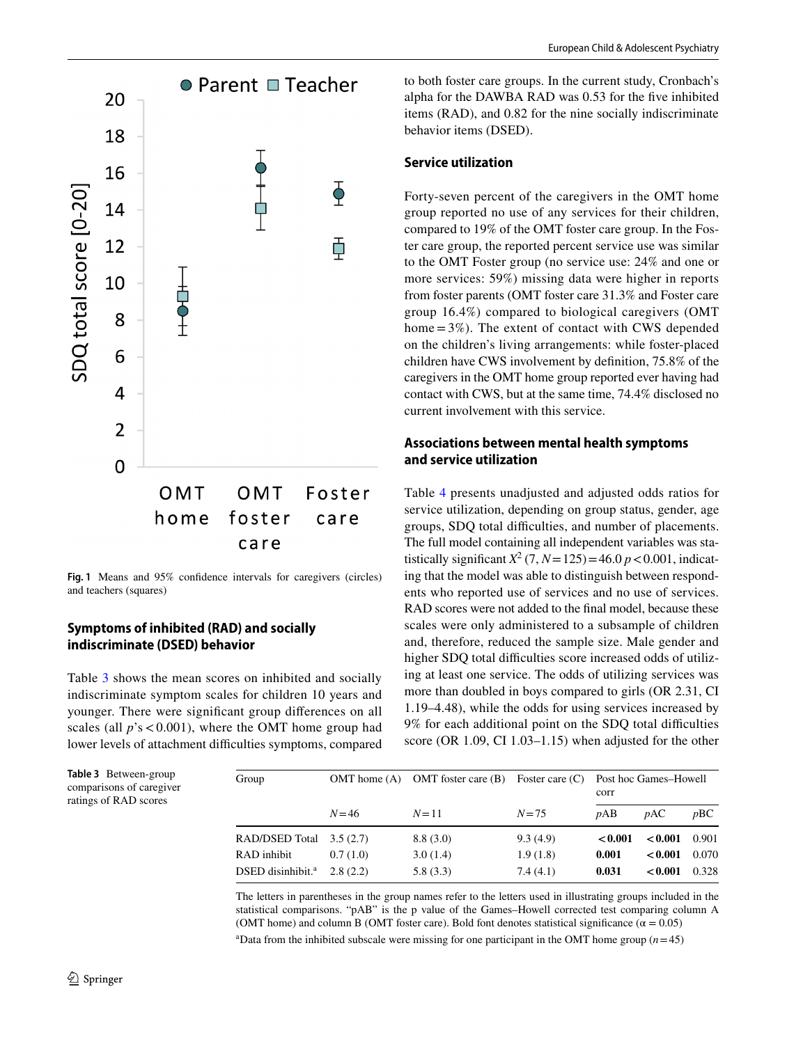

<span id="page-7-1"></span>**Fig. 1** Means and 95% confdence intervals for caregivers (circles) and teachers (squares)

# **Symptoms of inhibited (RAD) and socially indiscriminate (DSED) behavior**

Table [3](#page-7-0) shows the mean scores on inhibited and socially indiscriminate symptom scales for children 10 years and younger. There were signifcant group diferences on all scales (all  $p$ 's < 0.001), where the OMT home group had lower levels of attachment difficulties symptoms, compared to both foster care groups. In the current study, Cronbach's alpha for the DAWBA RAD was 0.53 for the fve inhibited items (RAD), and 0.82 for the nine socially indiscriminate behavior items (DSED).

# **Service utilization**

Forty-seven percent of the caregivers in the OMT home group reported no use of any services for their children, compared to 19% of the OMT foster care group. In the Foster care group, the reported percent service use was similar to the OMT Foster group (no service use: 24% and one or more services: 59%) missing data were higher in reports from foster parents (OMT foster care 31.3% and Foster care group 16.4%) compared to biological caregivers (OMT home  $=3\%$ ). The extent of contact with CWS depended on the children's living arrangements: while foster-placed children have CWS involvement by defnition, 75.8% of the caregivers in the OMT home group reported ever having had contact with CWS, but at the same time, 74.4% disclosed no current involvement with this service.

# **Associations between mental health symptoms and service utilization**

Table [4](#page-8-0) presents unadjusted and adjusted odds ratios for service utilization, depending on group status, gender, age groups, SDQ total difficulties, and number of placements. The full model containing all independent variables was statistically significant  $X^2$  (7,  $N = 125$ ) = 46.0  $p < 0.001$ , indicating that the model was able to distinguish between respondents who reported use of services and no use of services. RAD scores were not added to the fnal model, because these scales were only administered to a subsample of children and, therefore, reduced the sample size. Male gender and higher SDQ total difficulties score increased odds of utilizing at least one service. The odds of utilizing services was more than doubled in boys compared to girls (OR 2.31, CI 1.19–4.48), while the odds for using services increased by 9% for each additional point on the SDQ total difficulties score (OR 1.09, CI 1.03–1.15) when adjusted for the other

| Group                         |          | OMT home $(A)$ OMT foster care $(B)$ Foster care $(C)$ |          | Post hoc Games-Howell<br>corr |         |       |
|-------------------------------|----------|--------------------------------------------------------|----------|-------------------------------|---------|-------|
|                               | $N = 46$ | $N = 11$                                               | $N = 75$ | pAB                           | pAC     | pBC   |
| <b>RAD/DSED Total</b>         | 3.5(2.7) | 8.8(3.0)                                               | 9.3(4.9) | < 0.001                       | < 0.001 | 0.901 |
| RAD inhibit                   | 0.7(1.0) | 3.0(1.4)                                               | 1.9(1.8) | 0.001                         | < 0.001 | 0.070 |
| DSED disinhibit. <sup>a</sup> | 2.8(2.2) | 5.8(3.3)                                               | 7.4(4.1) | 0.031                         | < 0.001 | 0.328 |

The letters in parentheses in the group names refer to the letters used in illustrating groups included in the statistical comparisons. "pAB" is the p value of the Games–Howell corrected test comparing column A (OMT home) and column B (OMT foster care). Bold font denotes statistical significance ( $\alpha = 0.05$ )

<sup>a</sup>Data from the inhibited subscale were missing for one participant in the OMT home group  $(n=45)$ 

<span id="page-7-0"></span>**Table 3** Between-group comparisons of caregiver ratings of RAD scores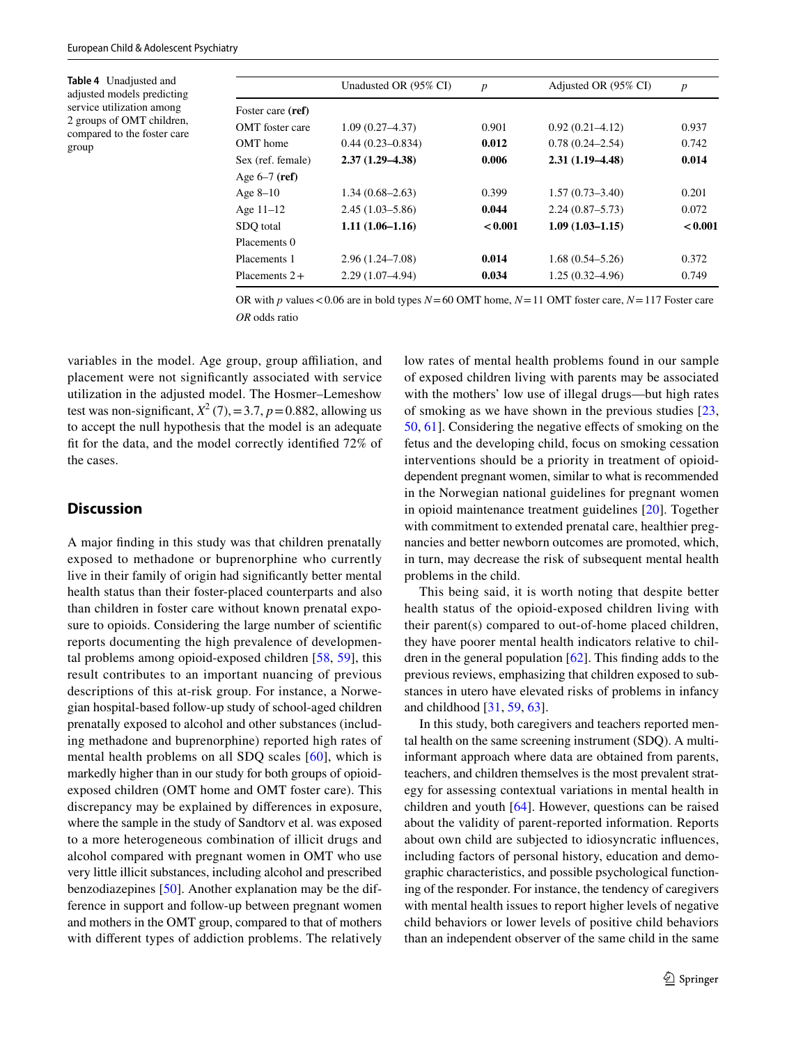<span id="page-8-0"></span>**Table 4** Unadjusted and adjusted models predicting service utilization among 2 groups of OMT children, compared to the foster care group

|                        | Unadusted OR (95% CI) | $\boldsymbol{p}$ | Adjusted OR (95% CI) | $\boldsymbol{p}$ |
|------------------------|-----------------------|------------------|----------------------|------------------|
| Foster care (ref)      |                       |                  |                      |                  |
| <b>OMT</b> foster care | $1.09(0.27 - 4.37)$   | 0.901            | $0.92(0.21 - 4.12)$  | 0.937            |
| OMT home               | $0.44(0.23 - 0.834)$  | 0.012            | $0.78(0.24 - 2.54)$  | 0.742            |
| Sex (ref. female)      | $2.37(1.29 - 4.38)$   | 0.006            | $2.31(1.19-4.48)$    | 0.014            |
| Age $6-7$ (ref)        |                       |                  |                      |                  |
| Age $8-10$             | $1.34(0.68 - 2.63)$   | 0.399            | $1.57(0.73 - 3.40)$  | 0.201            |
| Age $11-12$            | $2.45(1.03 - 5.86)$   | 0.044            | $2.24(0.87 - 5.73)$  | 0.072            |
| SDO total              | $1.11(1.06-1.16)$     | < 0.001          | $1.09(1.03 - 1.15)$  | < 0.001          |
| Placements 0           |                       |                  |                      |                  |
| Placements 1           | $2.96(1.24 - 7.08)$   | 0.014            | $1.68(0.54 - 5.26)$  | 0.372            |
| Placements $2+$        | $2.29(1.07-4.94)$     | 0.034            | $1.25(0.32 - 4.96)$  | 0.749            |

OR with *p* values<0.06 are in bold types *N*=60 OMT home, *N*=11 OMT foster care, *N*=117 Foster care *OR* odds ratio

variables in the model. Age group, group affiliation, and placement were not signifcantly associated with service utilization in the adjusted model. The Hosmer–Lemeshow test was non-significant,  $X^2$  (7), = 3.7,  $p = 0.882$ , allowing us to accept the null hypothesis that the model is an adequate ft for the data, and the model correctly identifed 72% of the cases.

# **Discussion**

A major fnding in this study was that children prenatally exposed to methadone or buprenorphine who currently live in their family of origin had signifcantly better mental health status than their foster-placed counterparts and also than children in foster care without known prenatal exposure to opioids. Considering the large number of scientifc reports documenting the high prevalence of developmental problems among opioid-exposed children [[58,](#page-13-7) [59\]](#page-13-8), this result contributes to an important nuancing of previous descriptions of this at-risk group. For instance, a Norwegian hospital-based follow-up study of school-aged children prenatally exposed to alcohol and other substances (including methadone and buprenorphine) reported high rates of mental health problems on all SDQ scales [[60\]](#page-13-9), which is markedly higher than in our study for both groups of opioidexposed children (OMT home and OMT foster care). This discrepancy may be explained by diferences in exposure, where the sample in the study of Sandtorv et al. was exposed to a more heterogeneous combination of illicit drugs and alcohol compared with pregnant women in OMT who use very little illicit substances, including alcohol and prescribed benzodiazepines [[50\]](#page-12-27). Another explanation may be the difference in support and follow-up between pregnant women and mothers in the OMT group, compared to that of mothers with diferent types of addiction problems. The relatively low rates of mental health problems found in our sample of exposed children living with parents may be associated with the mothers' low use of illegal drugs—but high rates of smoking as we have shown in the previous studies [[23,](#page-12-1) [50](#page-12-27), [61](#page-13-10)]. Considering the negative efects of smoking on the fetus and the developing child, focus on smoking cessation interventions should be a priority in treatment of opioiddependent pregnant women, similar to what is recommended in the Norwegian national guidelines for pregnant women in opioid maintenance treatment guidelines [[20](#page-11-18)]. Together with commitment to extended prenatal care, healthier pregnancies and better newborn outcomes are promoted, which, in turn, may decrease the risk of subsequent mental health problems in the child.

This being said, it is worth noting that despite better health status of the opioid-exposed children living with their parent(s) compared to out-of-home placed children, they have poorer mental health indicators relative to children in the general population [[62\]](#page-13-11). This fnding adds to the previous reviews, emphasizing that children exposed to substances in utero have elevated risks of problems in infancy and childhood [\[31](#page-12-10), [59](#page-13-8), [63\]](#page-13-12).

In this study, both caregivers and teachers reported mental health on the same screening instrument (SDQ). A multiinformant approach where data are obtained from parents, teachers, and children themselves is the most prevalent strategy for assessing contextual variations in mental health in children and youth [[64](#page-13-13)]. However, questions can be raised about the validity of parent-reported information. Reports about own child are subjected to idiosyncratic infuences, including factors of personal history, education and demographic characteristics, and possible psychological functioning of the responder. For instance, the tendency of caregivers with mental health issues to report higher levels of negative child behaviors or lower levels of positive child behaviors than an independent observer of the same child in the same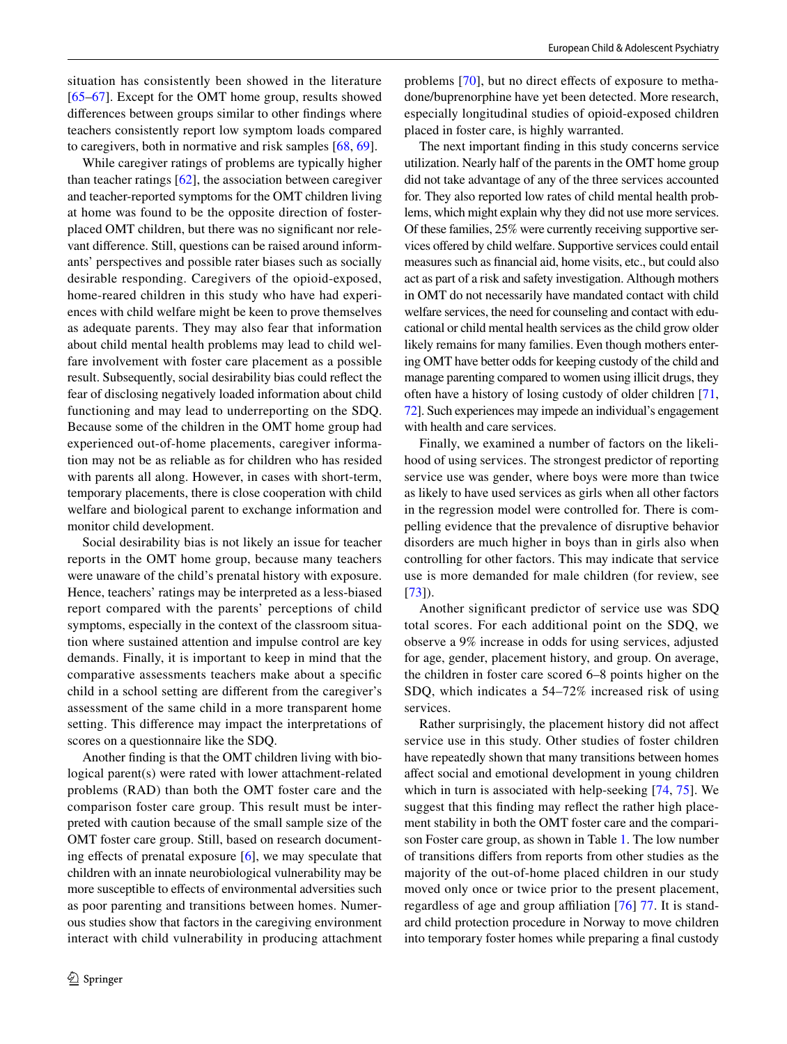situation has consistently been showed in the literature [\[65–](#page-13-14)[67\]](#page-13-15). Except for the OMT home group, results showed diferences between groups similar to other fndings where teachers consistently report low symptom loads compared to caregivers, both in normative and risk samples [[68,](#page-13-16) [69](#page-13-17)].

While caregiver ratings of problems are typically higher than teacher ratings [[62\]](#page-13-11), the association between caregiver and teacher-reported symptoms for the OMT children living at home was found to be the opposite direction of fosterplaced OMT children, but there was no signifcant nor relevant diference. Still, questions can be raised around informants' perspectives and possible rater biases such as socially desirable responding. Caregivers of the opioid-exposed, home-reared children in this study who have had experiences with child welfare might be keen to prove themselves as adequate parents. They may also fear that information about child mental health problems may lead to child welfare involvement with foster care placement as a possible result. Subsequently, social desirability bias could refect the fear of disclosing negatively loaded information about child functioning and may lead to underreporting on the SDQ. Because some of the children in the OMT home group had experienced out-of-home placements, caregiver information may not be as reliable as for children who has resided with parents all along. However, in cases with short-term, temporary placements, there is close cooperation with child welfare and biological parent to exchange information and monitor child development.

Social desirability bias is not likely an issue for teacher reports in the OMT home group, because many teachers were unaware of the child's prenatal history with exposure. Hence, teachers' ratings may be interpreted as a less-biased report compared with the parents' perceptions of child symptoms, especially in the context of the classroom situation where sustained attention and impulse control are key demands. Finally, it is important to keep in mind that the comparative assessments teachers make about a specifc child in a school setting are diferent from the caregiver's assessment of the same child in a more transparent home setting. This diference may impact the interpretations of scores on a questionnaire like the SDQ.

Another fnding is that the OMT children living with biological parent(s) were rated with lower attachment-related problems (RAD) than both the OMT foster care and the comparison foster care group. This result must be interpreted with caution because of the small sample size of the OMT foster care group. Still, based on research document-ing effects of prenatal exposure [\[6](#page-11-5)], we may speculate that children with an innate neurobiological vulnerability may be more susceptible to effects of environmental adversities such as poor parenting and transitions between homes. Numerous studies show that factors in the caregiving environment interact with child vulnerability in producing attachment problems [\[70\]](#page-13-18), but no direct efects of exposure to methadone/buprenorphine have yet been detected. More research, especially longitudinal studies of opioid-exposed children placed in foster care, is highly warranted.

The next important fnding in this study concerns service utilization. Nearly half of the parents in the OMT home group did not take advantage of any of the three services accounted for. They also reported low rates of child mental health problems, which might explain why they did not use more services. Of these families, 25% were currently receiving supportive services ofered by child welfare. Supportive services could entail measures such as fnancial aid, home visits, etc., but could also act as part of a risk and safety investigation. Although mothers in OMT do not necessarily have mandated contact with child welfare services, the need for counseling and contact with educational or child mental health services as the child grow older likely remains for many families. Even though mothers entering OMT have better odds for keeping custody of the child and manage parenting compared to women using illicit drugs, they often have a history of losing custody of older children [[71,](#page-13-19) [72\]](#page-13-20). Such experiences may impede an individual's engagement with health and care services.

Finally, we examined a number of factors on the likelihood of using services. The strongest predictor of reporting service use was gender, where boys were more than twice as likely to have used services as girls when all other factors in the regression model were controlled for. There is compelling evidence that the prevalence of disruptive behavior disorders are much higher in boys than in girls also when controlling for other factors. This may indicate that service use is more demanded for male children (for review, see [[73\]](#page-13-21)).

Another signifcant predictor of service use was SDQ total scores. For each additional point on the SDQ, we observe a 9% increase in odds for using services, adjusted for age, gender, placement history, and group. On average, the children in foster care scored 6–8 points higher on the SDQ, which indicates a 54–72% increased risk of using services.

Rather surprisingly, the placement history did not afect service use in this study. Other studies of foster children have repeatedly shown that many transitions between homes afect social and emotional development in young children which in turn is associated with help-seeking [[74,](#page-13-22) [75](#page-13-23)]. We suggest that this fnding may refect the rather high placement stability in both the OMT foster care and the comparison Foster care group, as shown in Table [1](#page-6-0). The low number of transitions difers from reports from other studies as the majority of the out-of-home placed children in our study moved only once or twice prior to the present placement, regardless of age and group affiliation [\[76\]](#page-13-24) [77](#page-13-25). It is standard child protection procedure in Norway to move children into temporary foster homes while preparing a fnal custody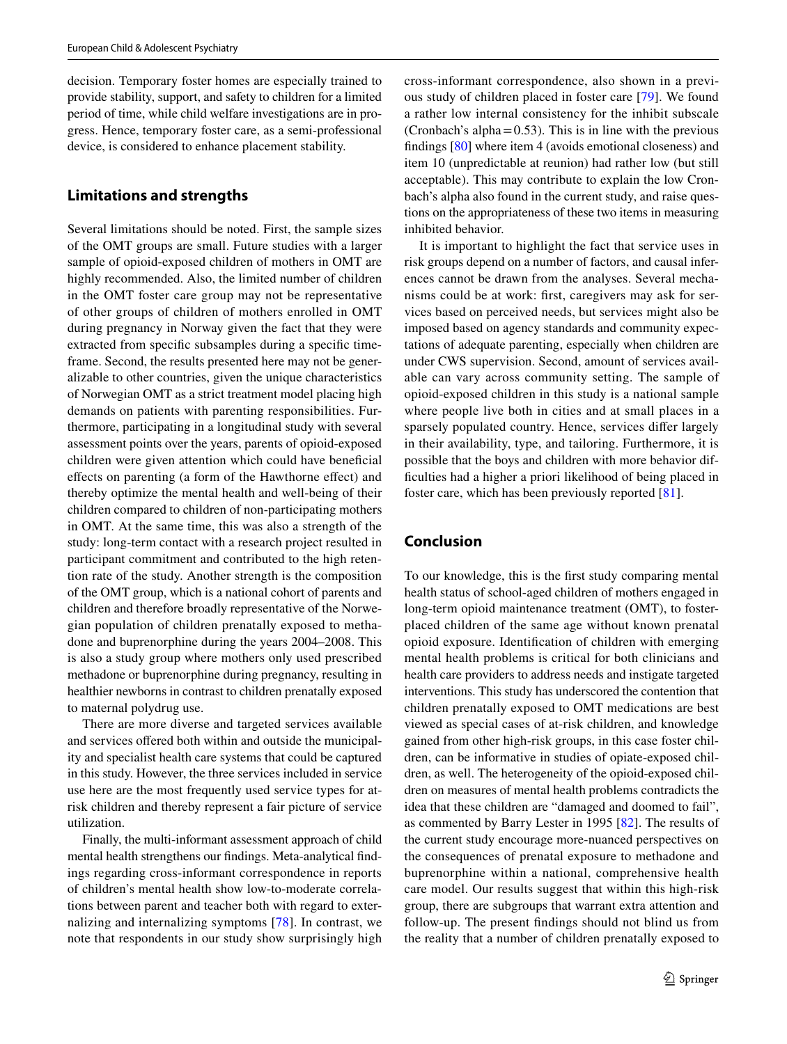decision. Temporary foster homes are especially trained to provide stability, support, and safety to children for a limited period of time, while child welfare investigations are in progress. Hence, temporary foster care, as a semi-professional device, is considered to enhance placement stability.

# **Limitations and strengths**

Several limitations should be noted. First, the sample sizes of the OMT groups are small. Future studies with a larger sample of opioid-exposed children of mothers in OMT are highly recommended. Also, the limited number of children in the OMT foster care group may not be representative of other groups of children of mothers enrolled in OMT during pregnancy in Norway given the fact that they were extracted from specifc subsamples during a specifc timeframe. Second, the results presented here may not be generalizable to other countries, given the unique characteristics of Norwegian OMT as a strict treatment model placing high demands on patients with parenting responsibilities. Furthermore, participating in a longitudinal study with several assessment points over the years, parents of opioid-exposed children were given attention which could have benefcial efects on parenting (a form of the Hawthorne efect) and thereby optimize the mental health and well-being of their children compared to children of non-participating mothers in OMT. At the same time, this was also a strength of the study: long-term contact with a research project resulted in participant commitment and contributed to the high retention rate of the study. Another strength is the composition of the OMT group, which is a national cohort of parents and children and therefore broadly representative of the Norwegian population of children prenatally exposed to methadone and buprenorphine during the years 2004–2008. This is also a study group where mothers only used prescribed methadone or buprenorphine during pregnancy, resulting in healthier newborns in contrast to children prenatally exposed to maternal polydrug use.

There are more diverse and targeted services available and services offered both within and outside the municipality and specialist health care systems that could be captured in this study. However, the three services included in service use here are the most frequently used service types for atrisk children and thereby represent a fair picture of service utilization.

Finally, the multi-informant assessment approach of child mental health strengthens our fndings. Meta-analytical fndings regarding cross-informant correspondence in reports of children's mental health show low-to-moderate correlations between parent and teacher both with regard to externalizing and internalizing symptoms [[78\]](#page-13-26). In contrast, we note that respondents in our study show surprisingly high cross-informant correspondence, also shown in a previous study of children placed in foster care [\[79\]](#page-14-0). We found a rather low internal consistency for the inhibit subscale (Cronbach's alpha $=0.53$ ). This is in line with the previous fndings [[80\]](#page-14-1) where item 4 (avoids emotional closeness) and item 10 (unpredictable at reunion) had rather low (but still acceptable). This may contribute to explain the low Cronbach's alpha also found in the current study, and raise questions on the appropriateness of these two items in measuring inhibited behavior.

It is important to highlight the fact that service uses in risk groups depend on a number of factors, and causal inferences cannot be drawn from the analyses. Several mechanisms could be at work: frst, caregivers may ask for services based on perceived needs, but services might also be imposed based on agency standards and community expectations of adequate parenting, especially when children are under CWS supervision. Second, amount of services available can vary across community setting. The sample of opioid-exposed children in this study is a national sample where people live both in cities and at small places in a sparsely populated country. Hence, services difer largely in their availability, type, and tailoring. Furthermore, it is possible that the boys and children with more behavior diffculties had a higher a priori likelihood of being placed in foster care, which has been previously reported [[81\]](#page-14-2).

# **Conclusion**

To our knowledge, this is the frst study comparing mental health status of school-aged children of mothers engaged in long-term opioid maintenance treatment (OMT), to fosterplaced children of the same age without known prenatal opioid exposure. Identifcation of children with emerging mental health problems is critical for both clinicians and health care providers to address needs and instigate targeted interventions. This study has underscored the contention that children prenatally exposed to OMT medications are best viewed as special cases of at-risk children, and knowledge gained from other high-risk groups, in this case foster children, can be informative in studies of opiate-exposed children, as well. The heterogeneity of the opioid-exposed children on measures of mental health problems contradicts the idea that these children are "damaged and doomed to fail", as commented by Barry Lester in 1995 [[82](#page-14-3)]. The results of the current study encourage more-nuanced perspectives on the consequences of prenatal exposure to methadone and buprenorphine within a national, comprehensive health care model. Our results suggest that within this high-risk group, there are subgroups that warrant extra attention and follow-up. The present fndings should not blind us from the reality that a number of children prenatally exposed to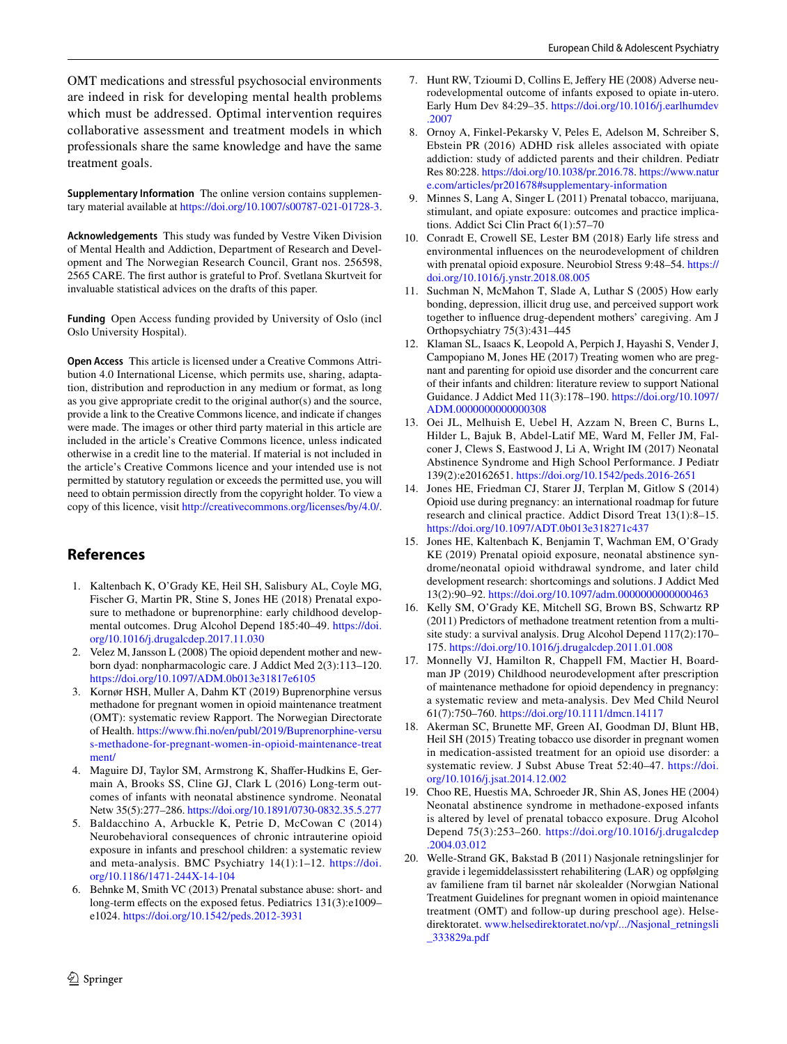OMT medications and stressful psychosocial environments are indeed in risk for developing mental health problems which must be addressed. Optimal intervention requires collaborative assessment and treatment models in which professionals share the same knowledge and have the same treatment goals.

**Supplementary Information** The online version contains supplementary material available at<https://doi.org/10.1007/s00787-021-01728-3>.

**Acknowledgements** This study was funded by Vestre Viken Division of Mental Health and Addiction, Department of Research and Development and The Norwegian Research Council, Grant nos. 256598, 2565 CARE. The frst author is grateful to Prof. Svetlana Skurtveit for invaluable statistical advices on the drafts of this paper.

**Funding** Open Access funding provided by University of Oslo (incl Oslo University Hospital).

**Open Access** This article is licensed under a Creative Commons Attribution 4.0 International License, which permits use, sharing, adaptation, distribution and reproduction in any medium or format, as long as you give appropriate credit to the original author(s) and the source, provide a link to the Creative Commons licence, and indicate if changes were made. The images or other third party material in this article are included in the article's Creative Commons licence, unless indicated otherwise in a credit line to the material. If material is not included in the article's Creative Commons licence and your intended use is not permitted by statutory regulation or exceeds the permitted use, you will need to obtain permission directly from the copyright holder. To view a copy of this licence, visit <http://creativecommons.org/licenses/by/4.0/>.

# **References**

- <span id="page-11-0"></span>1. Kaltenbach K, O'Grady KE, Heil SH, Salisbury AL, Coyle MG, Fischer G, Martin PR, Stine S, Jones HE (2018) Prenatal exposure to methadone or buprenorphine: early childhood developmental outcomes. Drug Alcohol Depend 185:40–49. [https://doi.](https://doi.org/10.1016/j.drugalcdep.2017.11.030) [org/10.1016/j.drugalcdep.2017.11.030](https://doi.org/10.1016/j.drugalcdep.2017.11.030)
- <span id="page-11-1"></span>2. Velez M, Jansson L (2008) The opioid dependent mother and newborn dyad: nonpharmacologic care. J Addict Med 2(3):113–120. <https://doi.org/10.1097/ADM.0b013e31817e6105>
- <span id="page-11-2"></span>3. Kornør HSH, Muller A, Dahm KT (2019) Buprenorphine versus methadone for pregnant women in opioid maintenance treatment (OMT): systematic review Rapport. The Norwegian Directorate of Health. [https://www.fhi.no/en/publ/2019/Buprenorphine-versu](https://www.fhi.no/en/publ/2019/Buprenorphine-versus-methadone-for-pregnant-women-in-opioid-maintenance-treatment/) [s-methadone-for-pregnant-women-in-opioid-maintenance-treat](https://www.fhi.no/en/publ/2019/Buprenorphine-versus-methadone-for-pregnant-women-in-opioid-maintenance-treatment/) [ment/](https://www.fhi.no/en/publ/2019/Buprenorphine-versus-methadone-for-pregnant-women-in-opioid-maintenance-treatment/)
- <span id="page-11-3"></span>4. Maguire DJ, Taylor SM, Armstrong K, Shafer-Hudkins E, Germain A, Brooks SS, Cline GJ, Clark L (2016) Long-term outcomes of infants with neonatal abstinence syndrome. Neonatal Netw 35(5):277–286.<https://doi.org/10.1891/0730-0832.35.5.277>
- <span id="page-11-4"></span>5. Baldacchino A, Arbuckle K, Petrie D, McCowan C (2014) Neurobehavioral consequences of chronic intrauterine opioid exposure in infants and preschool children: a systematic review and meta-analysis. BMC Psychiatry 14(1):1–12. [https://doi.](https://doi.org/10.1186/1471-244X-14-104) [org/10.1186/1471-244X-14-104](https://doi.org/10.1186/1471-244X-14-104)
- <span id="page-11-5"></span>6. Behnke M, Smith VC (2013) Prenatal substance abuse: short- and long-term effects on the exposed fetus. Pediatrics 131(3):e1009– e1024.<https://doi.org/10.1542/peds.2012-3931>
- <span id="page-11-6"></span>7. Hunt RW, Tzioumi D, Collins E, Jefery HE (2008) Adverse neurodevelopmental outcome of infants exposed to opiate in-utero. Early Hum Dev 84:29–35. [https://doi.org/10.1016/j.earlhumdev](https://doi.org/10.1016/j.earlhumdev.2007) [.2007](https://doi.org/10.1016/j.earlhumdev.2007)
- 8. Ornoy A, Finkel-Pekarsky V, Peles E, Adelson M, Schreiber S, Ebstein PR (2016) ADHD risk alleles associated with opiate addiction: study of addicted parents and their children. Pediatr Res 80:228. [https://doi.org/10.1038/pr.2016.78.](https://doi.org/10.1038/pr.2016.78) [https://www.natur](https://www.nature.com/articles/pr201678#supplementary-information) [e.com/articles/pr201678#supplementary-information](https://www.nature.com/articles/pr201678#supplementary-information)
- <span id="page-11-7"></span>9. Minnes S, Lang A, Singer L (2011) Prenatal tobacco, marijuana, stimulant, and opiate exposure: outcomes and practice implications. Addict Sci Clin Pract 6(1):57–70
- <span id="page-11-8"></span>10. Conradt E, Crowell SE, Lester BM (2018) Early life stress and environmental infuences on the neurodevelopment of children with prenatal opioid exposure. Neurobiol Stress 9:48–54. [https://](https://doi.org/10.1016/j.ynstr.2018.08.005) [doi.org/10.1016/j.ynstr.2018.08.005](https://doi.org/10.1016/j.ynstr.2018.08.005)
- <span id="page-11-9"></span>11. Suchman N, McMahon T, Slade A, Luthar S (2005) How early bonding, depression, illicit drug use, and perceived support work together to infuence drug-dependent mothers' caregiving. Am J Orthopsychiatry 75(3):431–445
- <span id="page-11-10"></span>12. Klaman SL, Isaacs K, Leopold A, Perpich J, Hayashi S, Vender J, Campopiano M, Jones HE (2017) Treating women who are pregnant and parenting for opioid use disorder and the concurrent care of their infants and children: literature review to support National Guidance. J Addict Med 11(3):178–190. [https://doi.org/10.1097/](https://doi.org/10.1097/ADM.0000000000000308) [ADM.0000000000000308](https://doi.org/10.1097/ADM.0000000000000308)
- <span id="page-11-11"></span>13. Oei JL, Melhuish E, Uebel H, Azzam N, Breen C, Burns L, Hilder L, Bajuk B, Abdel-Latif ME, Ward M, Feller JM, Falconer J, Clews S, Eastwood J, Li A, Wright IM (2017) Neonatal Abstinence Syndrome and High School Performance. J Pediatr 139(2):e20162651. <https://doi.org/10.1542/peds.2016-2651>
- <span id="page-11-12"></span>14. Jones HE, Friedman CJ, Starer JJ, Terplan M, Gitlow S (2014) Opioid use during pregnancy: an international roadmap for future research and clinical practice. Addict Disord Treat 13(1):8–15. <https://doi.org/10.1097/ADT.0b013e318271c437>
- <span id="page-11-13"></span>15. Jones HE, Kaltenbach K, Benjamin T, Wachman EM, O'Grady KE (2019) Prenatal opioid exposure, neonatal abstinence syndrome/neonatal opioid withdrawal syndrome, and later child development research: shortcomings and solutions. J Addict Med 13(2):90–92. <https://doi.org/10.1097/adm.0000000000000463>
- <span id="page-11-14"></span>16. Kelly SM, O'Grady KE, Mitchell SG, Brown BS, Schwartz RP (2011) Predictors of methadone treatment retention from a multisite study: a survival analysis. Drug Alcohol Depend 117(2):170– 175.<https://doi.org/10.1016/j.drugalcdep.2011.01.008>
- <span id="page-11-15"></span>17. Monnelly VJ, Hamilton R, Chappell FM, Mactier H, Boardman JP (2019) Childhood neurodevelopment after prescription of maintenance methadone for opioid dependency in pregnancy: a systematic review and meta-analysis. Dev Med Child Neurol 61(7):750–760.<https://doi.org/10.1111/dmcn.14117>
- <span id="page-11-16"></span>18. Akerman SC, Brunette MF, Green AI, Goodman DJ, Blunt HB, Heil SH (2015) Treating tobacco use disorder in pregnant women in medication-assisted treatment for an opioid use disorder: a systematic review. J Subst Abuse Treat 52:40–47. [https://doi.](https://doi.org/10.1016/j.jsat.2014.12.002) [org/10.1016/j.jsat.2014.12.002](https://doi.org/10.1016/j.jsat.2014.12.002)
- <span id="page-11-17"></span>19. Choo RE, Huestis MA, Schroeder JR, Shin AS, Jones HE (2004) Neonatal abstinence syndrome in methadone-exposed infants is altered by level of prenatal tobacco exposure. Drug Alcohol Depend 75(3):253–260. [https://doi.org/10.1016/j.drugalcdep](https://doi.org/10.1016/j.drugalcdep.2004.03.012) [.2004.03.012](https://doi.org/10.1016/j.drugalcdep.2004.03.012)
- <span id="page-11-18"></span>20. Welle-Strand GK, Bakstad B (2011) Nasjonale retningslinjer for gravide i legemiddelassisstert rehabilitering (LAR) og oppfølging av familiene fram til barnet når skolealder (Norwgian National Treatment Guidelines for pregnant women in opioid maintenance treatment (OMT) and follow-up during preschool age). Helsedirektoratet. [www.helsedirektoratet.no/vp/.../Nasjonal\\_retningsli](http://www.helsedirektoratet.no/vp/.../Nasjonal_retningsli_333829a.pdf) [\\_333829a.pdf](http://www.helsedirektoratet.no/vp/.../Nasjonal_retningsli_333829a.pdf)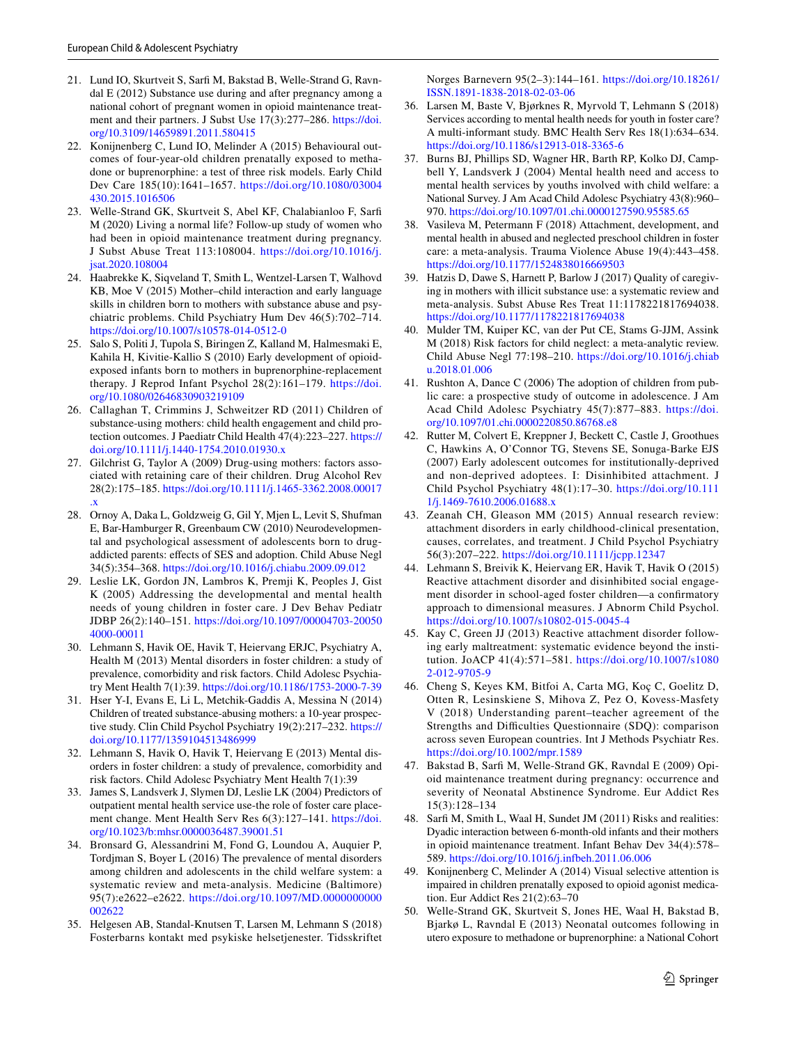- <span id="page-12-0"></span>21. Lund IO, Skurtveit S, Sarf M, Bakstad B, Welle-Strand G, Ravndal E (2012) Substance use during and after pregnancy among a national cohort of pregnant women in opioid maintenance treatment and their partners. J Subst Use 17(3):277–286. [https://doi.](https://doi.org/10.3109/14659891.2011.580415) [org/10.3109/14659891.2011.580415](https://doi.org/10.3109/14659891.2011.580415)
- <span id="page-12-4"></span>22. Konijnenberg C, Lund IO, Melinder A (2015) Behavioural outcomes of four-year-old children prenatally exposed to methadone or buprenorphine: a test of three risk models. Early Child Dev Care 185(10):1641–1657. [https://doi.org/10.1080/03004](https://doi.org/10.1080/03004430.2015.1016506) [430.2015.1016506](https://doi.org/10.1080/03004430.2015.1016506)
- <span id="page-12-1"></span>23. Welle-Strand GK, Skurtveit S, Abel KF, Chalabianloo F, Sarf M (2020) Living a normal life? Follow-up study of women who had been in opioid maintenance treatment during pregnancy. J Subst Abuse Treat 113:108004. [https://doi.org/10.1016/j.](https://doi.org/10.1016/j.jsat.2020.108004) [jsat.2020.108004](https://doi.org/10.1016/j.jsat.2020.108004)
- <span id="page-12-2"></span>24. Haabrekke K, Siqveland T, Smith L, Wentzel-Larsen T, Walhovd KB, Moe V (2015) Mother–child interaction and early language skills in children born to mothers with substance abuse and psychiatric problems. Child Psychiatry Hum Dev 46(5):702–714. <https://doi.org/10.1007/s10578-014-0512-0>
- <span id="page-12-3"></span>25. Salo S, Politi J, Tupola S, Biringen Z, Kalland M, Halmesmaki E, Kahila H, Kivitie-Kallio S (2010) Early development of opioidexposed infants born to mothers in buprenorphine-replacement therapy. J Reprod Infant Psychol 28(2):161–179. [https://doi.](https://doi.org/10.1080/02646830903219109) [org/10.1080/02646830903219109](https://doi.org/10.1080/02646830903219109)
- <span id="page-12-5"></span>26. Callaghan T, Crimmins J, Schweitzer RD (2011) Children of substance-using mothers: child health engagement and child protection outcomes. J Paediatr Child Health 47(4):223–227. [https://](https://doi.org/10.1111/j.1440-1754.2010.01930.x) [doi.org/10.1111/j.1440-1754.2010.01930.x](https://doi.org/10.1111/j.1440-1754.2010.01930.x)
- <span id="page-12-6"></span>27. Gilchrist G, Taylor A (2009) Drug-using mothers: factors associated with retaining care of their children. Drug Alcohol Rev 28(2):175–185. [https://doi.org/10.1111/j.1465-3362.2008.00017](https://doi.org/10.1111/j.1465-3362.2008.00017.x) [.x](https://doi.org/10.1111/j.1465-3362.2008.00017.x)
- <span id="page-12-7"></span>28. Ornoy A, Daka L, Goldzweig G, Gil Y, Mjen L, Levit S, Shufman E, Bar-Hamburger R, Greenbaum CW (2010) Neurodevelopmental and psychological assessment of adolescents born to drugaddicted parents: effects of SES and adoption. Child Abuse Negl 34(5):354–368.<https://doi.org/10.1016/j.chiabu.2009.09.012>
- <span id="page-12-8"></span>29. Leslie LK, Gordon JN, Lambros K, Premji K, Peoples J, Gist K (2005) Addressing the developmental and mental health needs of young children in foster care. J Dev Behav Pediatr JDBP 26(2):140–151. [https://doi.org/10.1097/00004703-20050](https://doi.org/10.1097/00004703-200504000-00011) [4000-00011](https://doi.org/10.1097/00004703-200504000-00011)
- <span id="page-12-9"></span>30. Lehmann S, Havik OE, Havik T, Heiervang ERJC, Psychiatry A, Health M (2013) Mental disorders in foster children: a study of prevalence, comorbidity and risk factors. Child Adolesc Psychiatry Ment Health 7(1):39.<https://doi.org/10.1186/1753-2000-7-39>
- <span id="page-12-10"></span>31. Hser Y-I, Evans E, Li L, Metchik-Gaddis A, Messina N (2014) Children of treated substance-abusing mothers: a 10-year prospective study. Clin Child Psychol Psychiatry 19(2):217–232. [https://](https://doi.org/10.1177/1359104513486999) [doi.org/10.1177/1359104513486999](https://doi.org/10.1177/1359104513486999)
- <span id="page-12-11"></span>32. Lehmann S, Havik O, Havik T, Heiervang E (2013) Mental disorders in foster children: a study of prevalence, comorbidity and risk factors. Child Adolesc Psychiatry Ment Health 7(1):39
- <span id="page-12-12"></span>33. James S, Landsverk J, Slymen DJ, Leslie LK (2004) Predictors of outpatient mental health service use-the role of foster care placement change. Ment Health Serv Res 6(3):127–141. [https://doi.](https://doi.org/10.1023/b:mhsr.0000036487.39001.51) [org/10.1023/b:mhsr.0000036487.39001.51](https://doi.org/10.1023/b:mhsr.0000036487.39001.51)
- <span id="page-12-13"></span>34. Bronsard G, Alessandrini M, Fond G, Loundou A, Auquier P, Tordjman S, Boyer L (2016) The prevalence of mental disorders among children and adolescents in the child welfare system: a systematic review and meta-analysis. Medicine (Baltimore) 95(7):e2622–e2622. [https://doi.org/10.1097/MD.0000000000](https://doi.org/10.1097/MD.0000000000002622) [002622](https://doi.org/10.1097/MD.0000000000002622)
- <span id="page-12-14"></span>35. Helgesen AB, Standal-Knutsen T, Larsen M, Lehmann S (2018) Fosterbarns kontakt med psykiske helsetjenester. Tidsskriftet

Norges Barnevern 95(2–3):144–161. [https://doi.org/10.18261/](https://doi.org/10.18261/ISSN.1891-1838-2018-02-03-06) [ISSN.1891-1838-2018-02-03-06](https://doi.org/10.18261/ISSN.1891-1838-2018-02-03-06)

- <span id="page-12-15"></span>36. Larsen M, Baste V, Bjørknes R, Myrvold T, Lehmann S (2018) Services according to mental health needs for youth in foster care? A multi-informant study. BMC Health Serv Res 18(1):634–634. <https://doi.org/10.1186/s12913-018-3365-6>
- <span id="page-12-16"></span>37. Burns BJ, Phillips SD, Wagner HR, Barth RP, Kolko DJ, Campbell Y, Landsverk J (2004) Mental health need and access to mental health services by youths involved with child welfare: a National Survey. J Am Acad Child Adolesc Psychiatry 43(8):960– 970.<https://doi.org/10.1097/01.chi.0000127590.95585.65>
- <span id="page-12-17"></span>38. Vasileva M, Petermann F (2018) Attachment, development, and mental health in abused and neglected preschool children in foster care: a meta-analysis. Trauma Violence Abuse 19(4):443–458. <https://doi.org/10.1177/1524838016669503>
- <span id="page-12-18"></span>39. Hatzis D, Dawe S, Harnett P, Barlow J (2017) Quality of caregiving in mothers with illicit substance use: a systematic review and meta-analysis. Subst Abuse Res Treat 11:1178221817694038. <https://doi.org/10.1177/1178221817694038>
- <span id="page-12-19"></span>40. Mulder TM, Kuiper KC, van der Put CE, Stams G-JJM, Assink M (2018) Risk factors for child neglect: a meta-analytic review. Child Abuse Negl 77:198–210. [https://doi.org/10.1016/j.chiab](https://doi.org/10.1016/j.chiabu.2018.01.006) [u.2018.01.006](https://doi.org/10.1016/j.chiabu.2018.01.006)
- <span id="page-12-20"></span>41. Rushton A, Dance C (2006) The adoption of children from public care: a prospective study of outcome in adolescence. J Am Acad Child Adolesc Psychiatry 45(7):877–883. [https://doi.](https://doi.org/10.1097/01.chi.0000220850.86768.e8) [org/10.1097/01.chi.0000220850.86768.e8](https://doi.org/10.1097/01.chi.0000220850.86768.e8)
- 42. Rutter M, Colvert E, Kreppner J, Beckett C, Castle J, Groothues C, Hawkins A, O'Connor TG, Stevens SE, Sonuga-Barke EJS (2007) Early adolescent outcomes for institutionally-deprived and non-deprived adoptees. I: Disinhibited attachment. J Child Psychol Psychiatry 48(1):17–30. [https://doi.org/10.111](https://doi.org/10.1111/j.1469-7610.2006.01688.x) [1/j.1469-7610.2006.01688.x](https://doi.org/10.1111/j.1469-7610.2006.01688.x)
- <span id="page-12-21"></span>43. Zeanah CH, Gleason MM (2015) Annual research review: attachment disorders in early childhood-clinical presentation, causes, correlates, and treatment. J Child Psychol Psychiatry 56(3):207–222.<https://doi.org/10.1111/jcpp.12347>
- <span id="page-12-22"></span>44. Lehmann S, Breivik K, Heiervang ER, Havik T, Havik O (2015) Reactive attachment disorder and disinhibited social engagement disorder in school-aged foster children—a confrmatory approach to dimensional measures. J Abnorm Child Psychol. <https://doi.org/10.1007/s10802-015-0045-4>
- <span id="page-12-23"></span>45. Kay C, Green JJ (2013) Reactive attachment disorder following early maltreatment: systematic evidence beyond the institution. JoACP 41(4):571–581. [https://doi.org/10.1007/s1080](https://doi.org/10.1007/s10802-012-9705-9) [2-012-9705-9](https://doi.org/10.1007/s10802-012-9705-9)
- <span id="page-12-24"></span>46. Cheng S, Keyes KM, Bitfoi A, Carta MG, Koç C, Goelitz D, Otten R, Lesinskiene S, Mihova Z, Pez O, Kovess-Masfety V (2018) Understanding parent–teacher agreement of the Strengths and Difficulties Questionnaire (SDQ): comparison across seven European countries. Int J Methods Psychiatr Res. <https://doi.org/10.1002/mpr.1589>
- <span id="page-12-25"></span>47. Bakstad B, Sarf M, Welle-Strand GK, Ravndal E (2009) Opioid maintenance treatment during pregnancy: occurrence and severity of Neonatal Abstinence Syndrome. Eur Addict Res 15(3):128–134
- 48. Sarfi M, Smith L, Waal H, Sundet JM (2011) Risks and realities: Dyadic interaction between 6-month-old infants and their mothers in opioid maintenance treatment. Infant Behav Dev 34(4):578– 589.<https://doi.org/10.1016/j.infbeh.2011.06.006>
- <span id="page-12-26"></span>49. Konijnenberg C, Melinder A (2014) Visual selective attention is impaired in children prenatally exposed to opioid agonist medication. Eur Addict Res 21(2):63–70
- <span id="page-12-27"></span>50. Welle-Strand GK, Skurtveit S, Jones HE, Waal H, Bakstad B, Bjarkø L, Ravndal E (2013) Neonatal outcomes following in utero exposure to methadone or buprenorphine: a National Cohort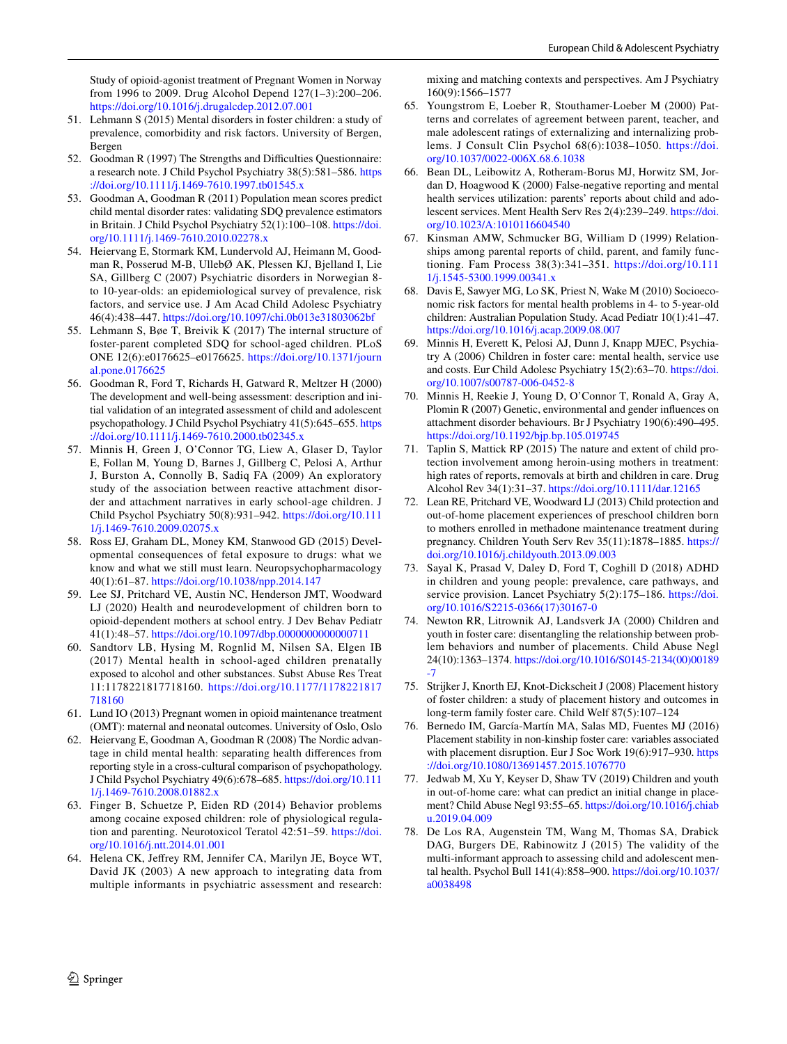Study of opioid-agonist treatment of Pregnant Women in Norway from 1996 to 2009. Drug Alcohol Depend 127(1–3):200–206. <https://doi.org/10.1016/j.drugalcdep.2012.07.001>

- <span id="page-13-0"></span>51. Lehmann S (2015) Mental disorders in foster children: a study of prevalence, comorbidity and risk factors. University of Bergen, Bergen
- <span id="page-13-1"></span>52. Goodman R (1997) The Strengths and Difficulties Questionnaire: a research note. J Child Psychol Psychiatry 38(5):581–586. [https](https://doi.org/10.1111/j.1469-7610.1997.tb01545.x) [://doi.org/10.1111/j.1469-7610.1997.tb01545.x](https://doi.org/10.1111/j.1469-7610.1997.tb01545.x)
- <span id="page-13-2"></span>53. Goodman A, Goodman R (2011) Population mean scores predict child mental disorder rates: validating SDQ prevalence estimators in Britain. J Child Psychol Psychiatry 52(1):100–108. [https://doi.](https://doi.org/10.1111/j.1469-7610.2010.02278.x) [org/10.1111/j.1469-7610.2010.02278.x](https://doi.org/10.1111/j.1469-7610.2010.02278.x)
- <span id="page-13-3"></span>54. Heiervang E, Stormark KM, Lundervold AJ, Heimann M, Goodman R, Posserud M-B, UllebØ AK, Plessen KJ, Bjelland I, Lie SA, Gillberg C (2007) Psychiatric disorders in Norwegian 8 to 10-year-olds: an epidemiological survey of prevalence, risk factors, and service use. J Am Acad Child Adolesc Psychiatry 46(4):438–447.<https://doi.org/10.1097/chi.0b013e31803062bf>
- <span id="page-13-4"></span>55. Lehmann S, Bøe T, Breivik K (2017) The internal structure of foster-parent completed SDQ for school-aged children. PLoS ONE 12(6):e0176625–e0176625. [https://doi.org/10.1371/journ](https://doi.org/10.1371/journal.pone.0176625) [al.pone.0176625](https://doi.org/10.1371/journal.pone.0176625)
- <span id="page-13-5"></span>56. Goodman R, Ford T, Richards H, Gatward R, Meltzer H (2000) The development and well-being assessment: description and initial validation of an integrated assessment of child and adolescent psychopathology. J Child Psychol Psychiatry 41(5):645–655. [https](https://doi.org/10.1111/j.1469-7610.2000.tb02345.x) [://doi.org/10.1111/j.1469-7610.2000.tb02345.x](https://doi.org/10.1111/j.1469-7610.2000.tb02345.x)
- <span id="page-13-6"></span>57. Minnis H, Green J, O'Connor TG, Liew A, Glaser D, Taylor E, Follan M, Young D, Barnes J, Gillberg C, Pelosi A, Arthur J, Burston A, Connolly B, Sadiq FA (2009) An exploratory study of the association between reactive attachment disorder and attachment narratives in early school-age children. J Child Psychol Psychiatry 50(8):931–942. [https://doi.org/10.111](https://doi.org/10.1111/j.1469-7610.2009.02075.x) [1/j.1469-7610.2009.02075.x](https://doi.org/10.1111/j.1469-7610.2009.02075.x)
- <span id="page-13-7"></span>58. Ross EJ, Graham DL, Money KM, Stanwood GD (2015) Developmental consequences of fetal exposure to drugs: what we know and what we still must learn. Neuropsychopharmacology 40(1):61–87. <https://doi.org/10.1038/npp.2014.147>
- <span id="page-13-8"></span>59. Lee SJ, Pritchard VE, Austin NC, Henderson JMT, Woodward LJ (2020) Health and neurodevelopment of children born to opioid-dependent mothers at school entry. J Dev Behav Pediatr 41(1):48–57. <https://doi.org/10.1097/dbp.0000000000000711>
- <span id="page-13-9"></span>60. Sandtorv LB, Hysing M, Rognlid M, Nilsen SA, Elgen IB (2017) Mental health in school-aged children prenatally exposed to alcohol and other substances. Subst Abuse Res Treat 11:1178221817718160. [https://doi.org/10.1177/1178221817](https://doi.org/10.1177/1178221817718160) [718160](https://doi.org/10.1177/1178221817718160)
- <span id="page-13-10"></span>61. Lund IO (2013) Pregnant women in opioid maintenance treatment (OMT): maternal and neonatal outcomes. University of Oslo, Oslo
- <span id="page-13-11"></span>62. Heiervang E, Goodman A, Goodman R (2008) The Nordic advantage in child mental health: separating health diferences from reporting style in a cross-cultural comparison of psychopathology. J Child Psychol Psychiatry 49(6):678–685. [https://doi.org/10.111](https://doi.org/10.1111/j.1469-7610.2008.01882.x) [1/j.1469-7610.2008.01882.x](https://doi.org/10.1111/j.1469-7610.2008.01882.x)
- <span id="page-13-12"></span>63. Finger B, Schuetze P, Eiden RD (2014) Behavior problems among cocaine exposed children: role of physiological regulation and parenting. Neurotoxicol Teratol 42:51–59. [https://doi.](https://doi.org/10.1016/j.ntt.2014.01.001) [org/10.1016/j.ntt.2014.01.001](https://doi.org/10.1016/j.ntt.2014.01.001)
- <span id="page-13-13"></span>64. Helena CK, Jefrey RM, Jennifer CA, Marilyn JE, Boyce WT, David JK (2003) A new approach to integrating data from multiple informants in psychiatric assessment and research:

mixing and matching contexts and perspectives. Am J Psychiatry 160(9):1566–1577

- <span id="page-13-14"></span>65. Youngstrom E, Loeber R, Stouthamer-Loeber M (2000) Patterns and correlates of agreement between parent, teacher, and male adolescent ratings of externalizing and internalizing problems. J Consult Clin Psychol 68(6):1038–1050. [https://doi.](https://doi.org/10.1037/0022-006X.68.6.1038) [org/10.1037/0022-006X.68.6.1038](https://doi.org/10.1037/0022-006X.68.6.1038)
- 66. Bean DL, Leibowitz A, Rotheram-Borus MJ, Horwitz SM, Jordan D, Hoagwood K (2000) False-negative reporting and mental health services utilization: parents' reports about child and adolescent services. Ment Health Serv Res 2(4):239–249. [https://doi.](https://doi.org/10.1023/A:1010116604540) [org/10.1023/A:1010116604540](https://doi.org/10.1023/A:1010116604540)
- <span id="page-13-15"></span>67. Kinsman AMW, Schmucker BG, William D (1999) Relationships among parental reports of child, parent, and family functioning. Fam Process 38(3):341–351. [https://doi.org/10.111](https://doi.org/10.1111/j.1545-5300.1999.00341.x) [1/j.1545-5300.1999.00341.x](https://doi.org/10.1111/j.1545-5300.1999.00341.x)
- <span id="page-13-16"></span>68. Davis E, Sawyer MG, Lo SK, Priest N, Wake M (2010) Socioeconomic risk factors for mental health problems in 4- to 5-year-old children: Australian Population Study. Acad Pediatr 10(1):41–47. <https://doi.org/10.1016/j.acap.2009.08.007>
- <span id="page-13-17"></span>69. Minnis H, Everett K, Pelosi AJ, Dunn J, Knapp MJEC, Psychiatry A (2006) Children in foster care: mental health, service use and costs. Eur Child Adolesc Psychiatry 15(2):63–70. [https://doi.](https://doi.org/10.1007/s00787-006-0452-8) [org/10.1007/s00787-006-0452-8](https://doi.org/10.1007/s00787-006-0452-8)
- <span id="page-13-18"></span>70. Minnis H, Reekie J, Young D, O'Connor T, Ronald A, Gray A, Plomin R (2007) Genetic, environmental and gender infuences on attachment disorder behaviours. Br J Psychiatry 190(6):490–495. <https://doi.org/10.1192/bjp.bp.105.019745>
- <span id="page-13-19"></span>71. Taplin S, Mattick RP (2015) The nature and extent of child protection involvement among heroin-using mothers in treatment: high rates of reports, removals at birth and children in care. Drug Alcohol Rev 34(1):31–37.<https://doi.org/10.1111/dar.12165>
- <span id="page-13-20"></span>72. Lean RE, Pritchard VE, Woodward LJ (2013) Child protection and out-of-home placement experiences of preschool children born to mothers enrolled in methadone maintenance treatment during pregnancy. Children Youth Serv Rev 35(11):1878–1885. [https://](https://doi.org/10.1016/j.childyouth.2013.09.003) [doi.org/10.1016/j.childyouth.2013.09.003](https://doi.org/10.1016/j.childyouth.2013.09.003)
- <span id="page-13-21"></span>73. Sayal K, Prasad V, Daley D, Ford T, Coghill D (2018) ADHD in children and young people: prevalence, care pathways, and service provision. Lancet Psychiatry 5(2):175–186. [https://doi.](https://doi.org/10.1016/S2215-0366(17)30167-0) [org/10.1016/S2215-0366\(17\)30167-0](https://doi.org/10.1016/S2215-0366(17)30167-0)
- <span id="page-13-22"></span>74. Newton RR, Litrownik AJ, Landsverk JA (2000) Children and youth in foster care: disentangling the relationship between problem behaviors and number of placements. Child Abuse Negl 24(10):1363–1374. [https://doi.org/10.1016/S0145-2134\(00\)00189](https://doi.org/10.1016/S0145-2134(00)00189-7) [-7](https://doi.org/10.1016/S0145-2134(00)00189-7)
- <span id="page-13-23"></span>75. Strijker J, Knorth EJ, Knot-Dickscheit J (2008) Placement history of foster children: a study of placement history and outcomes in long-term family foster care. Child Welf 87(5):107–124
- <span id="page-13-24"></span>76. Bernedo IM, García-Martín MA, Salas MD, Fuentes MJ (2016) Placement stability in non-kinship foster care: variables associated with placement disruption. Eur J Soc Work 19(6):917–930. [https](https://doi.org/10.1080/13691457.2015.1076770) [://doi.org/10.1080/13691457.2015.1076770](https://doi.org/10.1080/13691457.2015.1076770)
- <span id="page-13-25"></span>77. Jedwab M, Xu Y, Keyser D, Shaw TV (2019) Children and youth in out-of-home care: what can predict an initial change in placement? Child Abuse Negl 93:55–65. [https://doi.org/10.1016/j.chiab](https://doi.org/10.1016/j.chiabu.2019.04.009) [u.2019.04.009](https://doi.org/10.1016/j.chiabu.2019.04.009)
- <span id="page-13-26"></span>78. De Los RA, Augenstein TM, Wang M, Thomas SA, Drabick DAG, Burgers DE, Rabinowitz J (2015) The validity of the multi-informant approach to assessing child and adolescent mental health. Psychol Bull 141(4):858–900. [https://doi.org/10.1037/](https://doi.org/10.1037/a0038498) [a0038498](https://doi.org/10.1037/a0038498)